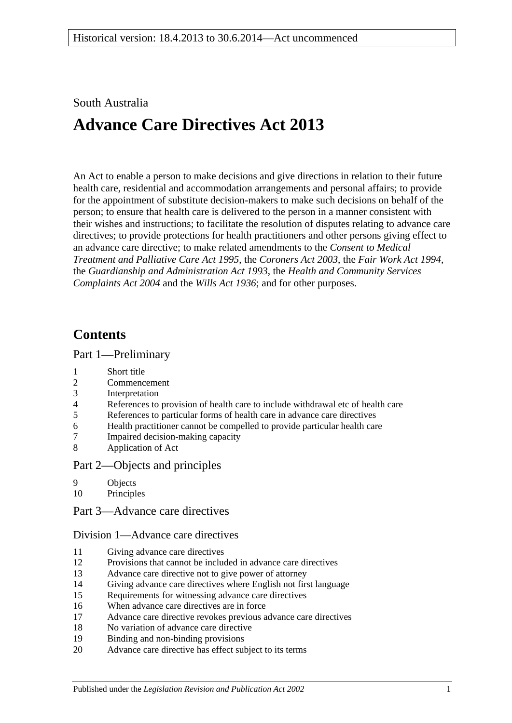## South Australia

# **Advance Care Directives Act 2013**

An Act to enable a person to make decisions and give directions in relation to their future health care, residential and accommodation arrangements and personal affairs; to provide for the appointment of substitute decision-makers to make such decisions on behalf of the person; to ensure that health care is delivered to the person in a manner consistent with their wishes and instructions; to facilitate the resolution of disputes relating to advance care directives; to provide protections for health practitioners and other persons giving effect to an advance care directive; to make related amendments to the *[Consent to Medical](http://www.legislation.sa.gov.au/index.aspx?action=legref&type=act&legtitle=Consent%20to%20Medical%20Treatment%20and%20Palliative%20Care%20Act%201995)  [Treatment and Palliative Care Act](http://www.legislation.sa.gov.au/index.aspx?action=legref&type=act&legtitle=Consent%20to%20Medical%20Treatment%20and%20Palliative%20Care%20Act%201995) 1995*, the *[Coroners Act](http://www.legislation.sa.gov.au/index.aspx?action=legref&type=act&legtitle=Coroners%20Act%202003) 2003*, the *[Fair Work Act](http://www.legislation.sa.gov.au/index.aspx?action=legref&type=act&legtitle=Fair%20Work%20Act%201994) 1994*, the *[Guardianship and Administration Act](http://www.legislation.sa.gov.au/index.aspx?action=legref&type=act&legtitle=Guardianship%20and%20Administration%20Act%201993) 1993*, the *[Health and Community Services](http://www.legislation.sa.gov.au/index.aspx?action=legref&type=act&legtitle=Health%20and%20Community%20Services%20Complaints%20Act%202004)  [Complaints Act](http://www.legislation.sa.gov.au/index.aspx?action=legref&type=act&legtitle=Health%20and%20Community%20Services%20Complaints%20Act%202004) 2004* and the *[Wills Act](http://www.legislation.sa.gov.au/index.aspx?action=legref&type=act&legtitle=Wills%20Act%201936) 1936*; and for other purposes.

# **Contents**

### Part [1—Preliminary](#page-4-0)

- 1 [Short title](#page-4-1)
- 2 [Commencement](#page-4-2)
- 3 [Interpretation](#page-4-3)
- 4 [References to provision of health care to include withdrawal etc of health care](#page-5-0)
- 5 [References to particular forms of health care in advance care directives](#page-5-1)
- 6 [Health practitioner cannot be compelled to provide particular health care](#page-5-2)
- 7 [Impaired decision-making capacity](#page-6-0)
- 8 [Application of Act](#page-7-0)

### Part [2—Objects and principles](#page-7-1)

- 9 [Objects](#page-7-2)
- 10 [Principles](#page-7-3)
- Part [3—Advance care directives](#page-8-0)

### Division [1—Advance care directives](#page-8-1)

- 11 [Giving advance care directives](#page-8-2)
- 12 [Provisions that cannot be included in advance care directives](#page-10-0)
- 13 [Advance care directive not to give power of attorney](#page-10-1)
- 14 [Giving advance care directives where English not first language](#page-11-0)
- 15 [Requirements for witnessing advance care directives](#page-11-1)
- 16 [When advance care directives are in force](#page-12-0)
- 17 [Advance care directive revokes previous advance care directives](#page-12-1)
- 18 [No variation of advance care directive](#page-13-0)
- 19 [Binding and non-binding provisions](#page-13-1)
- 20 [Advance care directive has effect subject to its terms](#page-13-2)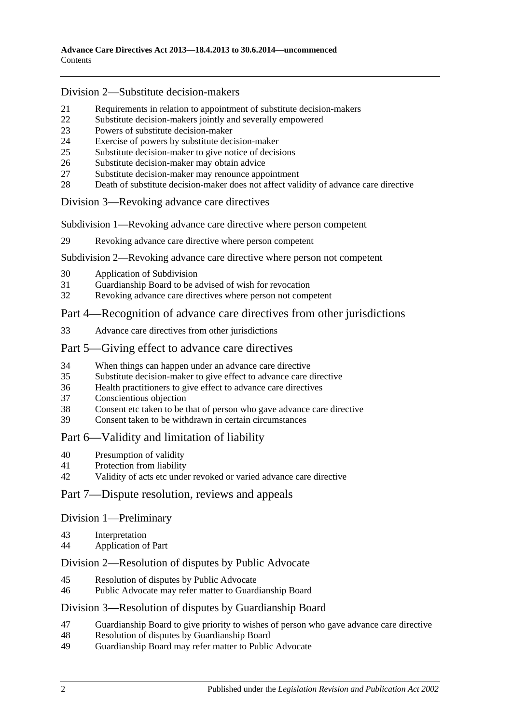### Division [2—Substitute decision-makers](#page-13-3)

- [Requirements in relation to appointment of substitute decision-makers](#page-13-4)<br>22 Substitute decision-makers jointly and severally empowered
- [Substitute decision-makers jointly and severally empowered](#page-14-0)
- [Powers of substitute decision-maker](#page-14-1)
- [Exercise of powers by substitute decision-maker](#page-14-2)
- [Substitute decision-maker to give notice of decisions](#page-15-0)
- [Substitute decision-maker may obtain advice](#page-15-1)
- [Substitute decision-maker may renounce appointment](#page-15-2)
- [Death of substitute decision-maker does not affect validity of advance care directive](#page-15-3)

### Division [3—Revoking advance care directives](#page-16-0)

Subdivision [1—Revoking advance care directive where person competent](#page-16-1)

[Revoking advance care directive where person competent](#page-16-2)

### Subdivision [2—Revoking advance care directive where person not competent](#page-16-3)

- [Application of Subdivision](#page-16-4)
- [Guardianship Board to be advised of wish for revocation](#page-16-5)
- [Revoking advance care directives where person not competent](#page-17-0)

## Part [4—Recognition of advance care directives from other jurisdictions](#page-18-0)

[Advance care directives from other jurisdictions](#page-18-1)

### Part [5—Giving effect to advance care directives](#page-18-2)

- [When things can happen under an advance care directive](#page-18-3)
- [Substitute decision-maker to give effect to advance care directive](#page-19-0)
- [Health practitioners to give effect to advance care directives](#page-19-1)
- [Conscientious objection](#page-20-0)
- [Consent etc taken to be that of person who gave advance care directive](#page-20-1)
- [Consent taken to be withdrawn in certain circumstances](#page-20-2)

## Part [6—Validity and limitation of liability](#page-21-0)

- [Presumption of validity](#page-21-1)
- [Protection from liability](#page-21-2)
- [Validity of acts etc under revoked or varied advance care directive](#page-21-3)

## Part [7—Dispute resolution, reviews and appeals](#page-21-4)

### Division [1—Preliminary](#page-21-5)

- [Interpretation](#page-21-6)
- [Application of Part](#page-22-0)

### Division [2—Resolution of disputes by Public Advocate](#page-22-1)

- [Resolution of disputes by Public Advocate](#page-22-2)
- [Public Advocate may refer matter to Guardianship Board](#page-23-0)

### Division [3—Resolution of disputes by Guardianship Board](#page-24-0)

- [Guardianship Board to give priority to wishes of person who gave advance care directive](#page-24-1)
- [Resolution of disputes by Guardianship Board](#page-24-2)
- [Guardianship Board may refer matter to Public Advocate](#page-25-0)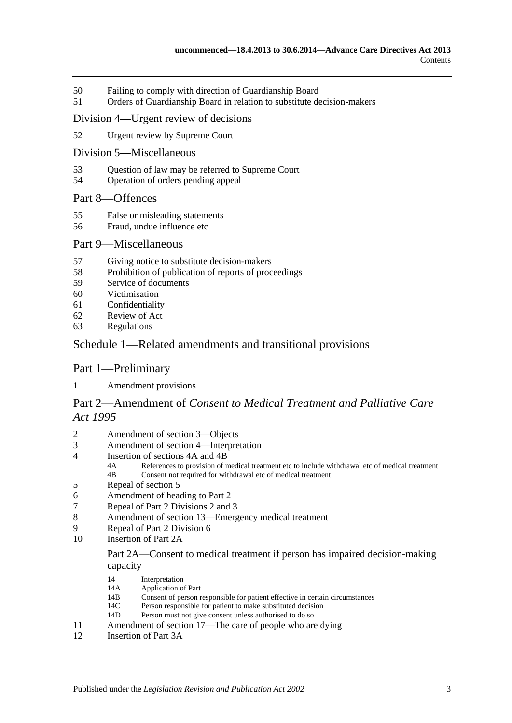- 50 [Failing to comply with direction of](#page-25-1) Guardianship Board
- 51 [Orders of Guardianship Board in relation to substitute decision-makers](#page-26-0)

### Division [4—Urgent review of decisions](#page-27-0)

- 52 [Urgent review by Supreme Court](#page-27-1)
- Division [5—Miscellaneous](#page-27-2)
- 53 [Question of law may be referred to Supreme Court](#page-27-3)
- 54 [Operation of orders pending appeal](#page-28-0)

### Part [8—Offences](#page-28-1)

- 55 [False or misleading statements](#page-28-2)
- 56 [Fraud, undue influence etc](#page-28-3)

### Part [9—Miscellaneous](#page-29-0)

- 57 [Giving notice to substitute decision-makers](#page-29-1)
- 58 [Prohibition of publication of reports of proceedings](#page-29-2)
- 59 [Service of documents](#page-29-3)
- 60 [Victimisation](#page-30-0)
- 61 [Confidentiality](#page-30-1)
- 62 [Review of Act](#page-31-0)
- 63 [Regulations](#page-31-1)

### Schedule [1—Related amendments and transitional provisions](#page-32-0)

### Part 1—Preliminary

1 [Amendment provisions](#page-32-1)

## Part 2—Amendment of *Consent to Medical Treatment and Palliative Care Act 1995*

- 2 [Amendment of section 3—Objects](#page-32-2)
- 3 [Amendment of section 4—Interpretation](#page-32-3)
- 4 [Insertion of sections 4A and 4B](#page-34-0)<br>4A References to provision of n
	- 4A References to provision of medical treatment etc to include withdrawal etc of medical treatment<br>4B Consent not required for withdrawal etc of medical treatment Consent not required for withdrawal etc of medical treatment
- 5 [Repeal of section 5](#page-34-1)
- 6 [Amendment of heading to Part 2](#page-34-2)
- 7 [Repeal of Part 2 Divisions 2 and 3](#page-34-3)
- 8 [Amendment of section 13—Emergency medical treatment](#page-34-4)
- 9 [Repeal of Part 2 Division 6](#page-36-0)
- 10 [Insertion of Part 2A](#page-36-1)

### Part 2A—Consent to medical treatment if person has impaired decision-making capacity

- 14 Interpretation<br>14A Application of
- 14A Application of Part<br>14R Consent of person r
- 14B Consent of person responsible for patient effective in certain circumstances<br>14C Person responsible for patient to make substituted decision
- 14C Person responsible for patient to make substituted decision<br>14D Person must not give consent unless authorised to do so
- Person must not give consent unless authorised to do so
- 11 [Amendment of section 17—The care of people who are dying](#page-40-0)<br>12 Insertion of Part 3A
- [Insertion of Part 3A](#page-40-1)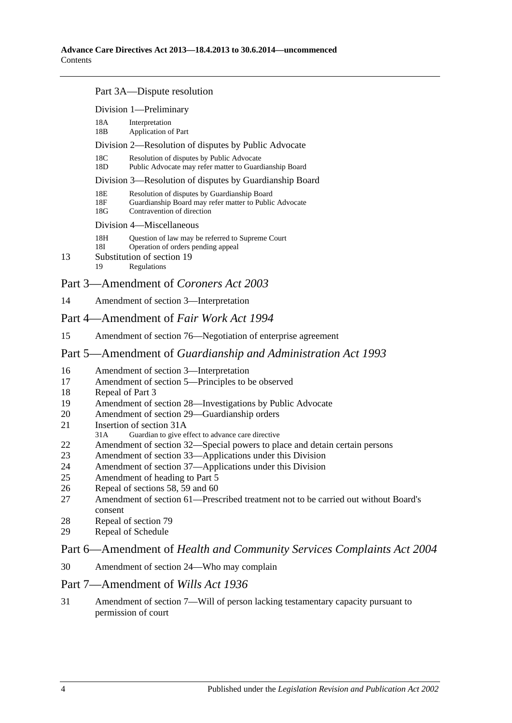#### Part 3A—Dispute resolution

|                                       | Division 1-Preliminary                                  |                                                                                                                                      |  |  |  |
|---------------------------------------|---------------------------------------------------------|--------------------------------------------------------------------------------------------------------------------------------------|--|--|--|
|                                       | 18A<br>18B                                              | Interpretation<br><b>Application of Part</b>                                                                                         |  |  |  |
|                                       | Division 2—Resolution of disputes by Public Advocate    |                                                                                                                                      |  |  |  |
|                                       | 18C<br>18D                                              | Resolution of disputes by Public Advocate<br>Public Advocate may refer matter to Guardianship Board                                  |  |  |  |
|                                       | Division 3—Resolution of disputes by Guardianship Board |                                                                                                                                      |  |  |  |
|                                       | 18E<br>18F<br>18G                                       | Resolution of disputes by Guardianship Board<br>Guardianship Board may refer matter to Public Advocate<br>Contravention of direction |  |  |  |
|                                       | Division 4—Miscellaneous                                |                                                                                                                                      |  |  |  |
| 13                                    | 18H<br>18I<br>19                                        | Question of law may be referred to Supreme Court<br>Operation of orders pending appeal<br>Substitution of section 19<br>Regulations  |  |  |  |
| Part 3—Amendment of Coroners Act 2003 |                                                         |                                                                                                                                      |  |  |  |

14 [Amendment of section 3—Interpretation](#page-46-0)

### Part 4—Amendment of *Fair Work Act 1994*

15 [Amendment of section 76—Negotiation of enterprise agreement](#page-46-1)

### Part 5—Amendment of *Guardianship and Administration Act 1993*

- 16 [Amendment of section 3—Interpretation](#page-46-2)
- 17 [Amendment of section 5—Principles to be observed](#page-48-0)
- 18 [Repeal of Part 3](#page-48-1)
- 19 [Amendment of section 28—Investigations by Public Advocate](#page-48-2)
- 20 [Amendment of section 29—Guardianship orders](#page-48-3)
- 21 [Insertion of section 31A](#page-48-4)<br>31A Guardian to give et
- Guardian to give effect to advance care directive
- 22 [Amendment of section 32—Special powers to place and detain certain persons](#page-49-0)
- 23 [Amendment of section 33—Applications under this Division](#page-50-0)
- 24 [Amendment of section 37—Applications under this Division](#page-50-1)<br>25 Amendment of heading to Part 5
- [Amendment of heading to Part 5](#page-50-2)
- 26 [Repeal of sections 58, 59 and 60](#page-50-3)
- 27 [Amendment of section 61—Prescribed treatment not to be carried out without Board's](#page-50-4)  [consent](#page-50-4)
- 28 [Repeal of section 79](#page-50-5)
- 29 [Repeal of Schedule](#page-50-6)

### Part 6—Amendment of *Health and Community Services Complaints Act 2004*

30 [Amendment of section 24—Who may complain](#page-50-7)

### Part 7—Amendment of *Wills Act 1936*

31 [Amendment of section 7—Will of person lacking testamentary capacity pursuant to](#page-51-0)  [permission of court](#page-51-0)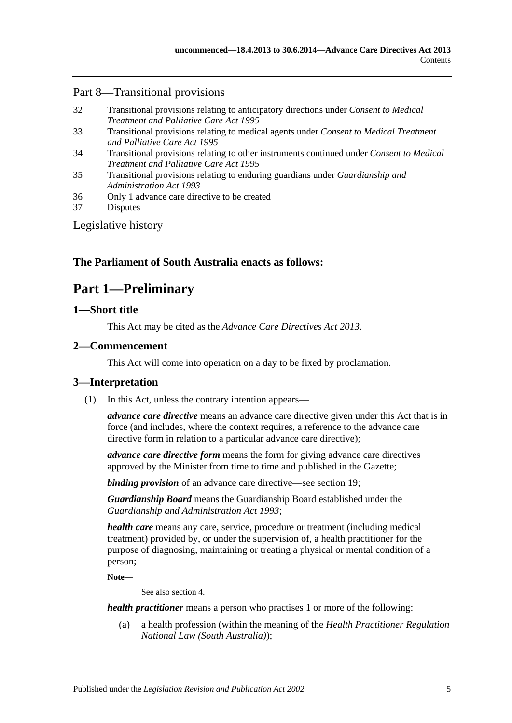## Part 8—Transitional provisions

| 32 | Transitional provisions relating to anticipatory directions under <i>Consent to Medical</i> |
|----|---------------------------------------------------------------------------------------------|
|    | <i>Treatment and Palliative Care Act 1995</i>                                               |

- 33 [Transitional provisions relating to medical agents under](#page-52-0) *Consent to Medical Treatment [and Palliative Care Act](#page-52-0) 1995*
- 34 [Transitional provisions relating to other instruments continued under](#page-52-1) *Consent to Medical [Treatment and Palliative Care Act](#page-52-1) 1995*
- 35 [Transitional provisions relating to enduring guardians under](#page-53-0) *Guardianship and [Administration Act](#page-53-0) 1993*
- 36 [Only 1 advance care directive to be created](#page-54-0)
- 37 [Disputes](#page-54-1)

[Legislative history](#page-55-0)

## <span id="page-4-0"></span>**The Parliament of South Australia enacts as follows:**

# **Part 1—Preliminary**

### <span id="page-4-1"></span>**1—Short title**

This Act may be cited as the *Advance Care Directives Act 2013*.

## <span id="page-4-2"></span>**2—Commencement**

This Act will come into operation on a day to be fixed by proclamation.

## <span id="page-4-4"></span><span id="page-4-3"></span>**3—Interpretation**

(1) In this Act, unless the contrary intention appears—

*advance care directive* means an advance care directive given under this Act that is in force (and includes, where the context requires, a reference to the advance care directive form in relation to a particular advance care directive);

*advance care directive form* means the form for giving advance care directives approved by the Minister from time to time and published in the Gazette;

*binding provision* of an advance care directive—see [section](#page-13-1) 19;

*Guardianship Board* means the Guardianship Board established under the *[Guardianship and Administration Act](http://www.legislation.sa.gov.au/index.aspx?action=legref&type=act&legtitle=Guardianship%20and%20Administration%20Act%201993) 1993*;

*health care* means any care, service, procedure or treatment (including medical treatment) provided by, or under the supervision of, a health practitioner for the purpose of diagnosing, maintaining or treating a physical or mental condition of a person;

**Note—**

See also [section](#page-5-0) 4.

*health practitioner* means a person who practises 1 or more of the following:

(a) a health profession (within the meaning of the *Health Practitioner Regulation National Law (South Australia)*);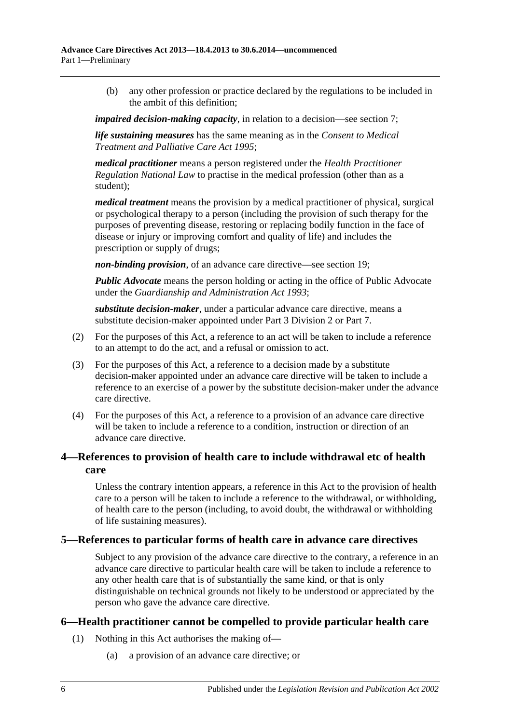(b) any other profession or practice declared by the regulations to be included in the ambit of this definition;

*impaired decision-making capacity*, in relation to a decision—see [section](#page-6-0) 7;

*life sustaining measures* has the same meaning as in the *[Consent to Medical](http://www.legislation.sa.gov.au/index.aspx?action=legref&type=act&legtitle=Consent%20to%20Medical%20Treatment%20and%20Palliative%20Care%20Act%201995)  [Treatment and Palliative Care Act](http://www.legislation.sa.gov.au/index.aspx?action=legref&type=act&legtitle=Consent%20to%20Medical%20Treatment%20and%20Palliative%20Care%20Act%201995) 1995*;

*medical practitioner* means a person registered under the *Health Practitioner Regulation National Law* to practise in the medical profession (other than as a student);

*medical treatment* means the provision by a medical practitioner of physical, surgical or psychological therapy to a person (including the provision of such therapy for the purposes of preventing disease, restoring or replacing bodily function in the face of disease or injury or improving comfort and quality of life) and includes the prescription or supply of drugs;

*non-binding provision*, of an advance care directive—see [section](#page-13-1) 19;

*Public Advocate* means the person holding or acting in the office of Public Advocate under the *[Guardianship and Administration Act](http://www.legislation.sa.gov.au/index.aspx?action=legref&type=act&legtitle=Guardianship%20and%20Administration%20Act%201993) 1993*;

*substitute decision-maker*, under a particular advance care directive, means a substitute decision-maker appointed under Part [3 Division](#page-13-3) 2 or [Part](#page-21-4) 7.

- (2) For the purposes of this Act, a reference to an act will be taken to include a reference to an attempt to do the act, and a refusal or omission to act.
- (3) For the purposes of this Act, a reference to a decision made by a substitute decision-maker appointed under an advance care directive will be taken to include a reference to an exercise of a power by the substitute decision-maker under the advance care directive.
- (4) For the purposes of this Act, a reference to a provision of an advance care directive will be taken to include a reference to a condition, instruction or direction of an advance care directive.

## <span id="page-5-0"></span>**4—References to provision of health care to include withdrawal etc of health care**

Unless the contrary intention appears, a reference in this Act to the provision of health care to a person will be taken to include a reference to the withdrawal, or withholding, of health care to the person (including, to avoid doubt, the withdrawal or withholding of life sustaining measures).

## <span id="page-5-1"></span>**5—References to particular forms of health care in advance care directives**

Subject to any provision of the advance care directive to the contrary, a reference in an advance care directive to particular health care will be taken to include a reference to any other health care that is of substantially the same kind, or that is only distinguishable on technical grounds not likely to be understood or appreciated by the person who gave the advance care directive.

## <span id="page-5-3"></span><span id="page-5-2"></span>**6—Health practitioner cannot be compelled to provide particular health care**

- (1) Nothing in this Act authorises the making of—
	- (a) a provision of an advance care directive; or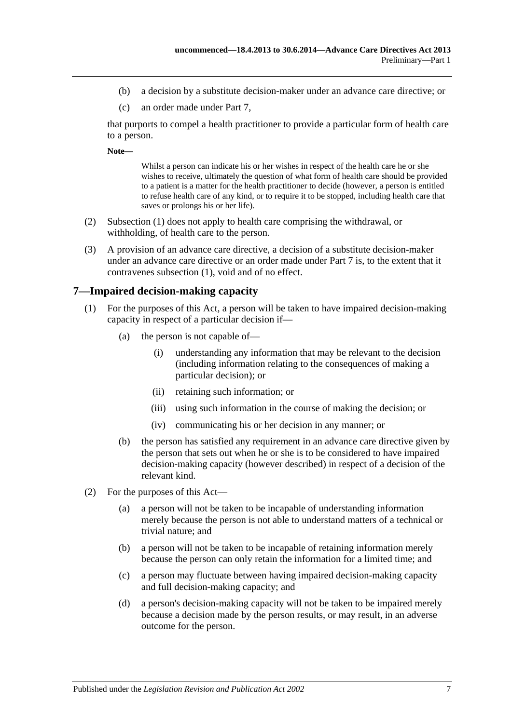- (b) a decision by a substitute decision-maker under an advance care directive; or
- (c) an order made under [Part](#page-21-4) 7,

that purports to compel a health practitioner to provide a particular form of health care to a person.

**Note—**

Whilst a person can indicate his or her wishes in respect of the health care he or she wishes to receive, ultimately the question of what form of health care should be provided to a patient is a matter for the health practitioner to decide (however, a person is entitled to refuse health care of any kind, or to require it to be stopped, including health care that saves or prolongs his or her life).

- (2) [Subsection](#page-5-3) (1) does not apply to health care comprising the withdrawal, or withholding, of health care to the person.
- (3) A provision of an advance care directive, a decision of a substitute decision-maker under an advance care directive or an order made under [Part](#page-21-4) 7 is, to the extent that it contravenes [subsection](#page-5-3) (1), void and of no effect.

### <span id="page-6-0"></span>**7—Impaired decision-making capacity**

- (1) For the purposes of this Act, a person will be taken to have impaired decision-making capacity in respect of a particular decision if—
	- (a) the person is not capable of—
		- (i) understanding any information that may be relevant to the decision (including information relating to the consequences of making a particular decision); or
		- (ii) retaining such information; or
		- (iii) using such information in the course of making the decision; or
		- (iv) communicating his or her decision in any manner; or
	- (b) the person has satisfied any requirement in an advance care directive given by the person that sets out when he or she is to be considered to have impaired decision-making capacity (however described) in respect of a decision of the relevant kind.
- (2) For the purposes of this Act—
	- (a) a person will not be taken to be incapable of understanding information merely because the person is not able to understand matters of a technical or trivial nature; and
	- (b) a person will not be taken to be incapable of retaining information merely because the person can only retain the information for a limited time; and
	- (c) a person may fluctuate between having impaired decision-making capacity and full decision-making capacity; and
	- (d) a person's decision-making capacity will not be taken to be impaired merely because a decision made by the person results, or may result, in an adverse outcome for the person.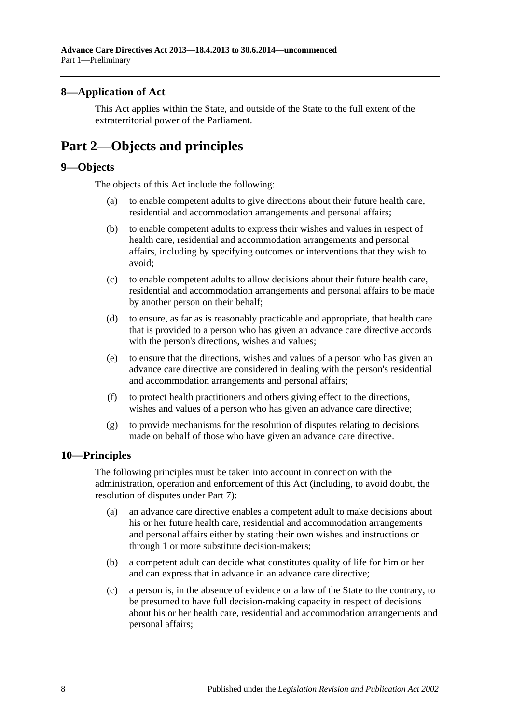## <span id="page-7-0"></span>**8—Application of Act**

This Act applies within the State, and outside of the State to the full extent of the extraterritorial power of the Parliament.

# <span id="page-7-1"></span>**Part 2—Objects and principles**

### <span id="page-7-2"></span>**9—Objects**

The objects of this Act include the following:

- (a) to enable competent adults to give directions about their future health care, residential and accommodation arrangements and personal affairs;
- (b) to enable competent adults to express their wishes and values in respect of health care, residential and accommodation arrangements and personal affairs, including by specifying outcomes or interventions that they wish to avoid;
- (c) to enable competent adults to allow decisions about their future health care, residential and accommodation arrangements and personal affairs to be made by another person on their behalf;
- (d) to ensure, as far as is reasonably practicable and appropriate, that health care that is provided to a person who has given an advance care directive accords with the person's directions, wishes and values;
- (e) to ensure that the directions, wishes and values of a person who has given an advance care directive are considered in dealing with the person's residential and accommodation arrangements and personal affairs;
- (f) to protect health practitioners and others giving effect to the directions, wishes and values of a person who has given an advance care directive;
- (g) to provide mechanisms for the resolution of disputes relating to decisions made on behalf of those who have given an advance care directive.

## <span id="page-7-3"></span>**10—Principles**

The following principles must be taken into account in connection with the administration, operation and enforcement of this Act (including, to avoid doubt, the resolution of disputes under [Part](#page-21-4) 7):

- (a) an advance care directive enables a competent adult to make decisions about his or her future health care, residential and accommodation arrangements and personal affairs either by stating their own wishes and instructions or through 1 or more substitute decision-makers;
- (b) a competent adult can decide what constitutes quality of life for him or her and can express that in advance in an advance care directive;
- (c) a person is, in the absence of evidence or a law of the State to the contrary, to be presumed to have full decision-making capacity in respect of decisions about his or her health care, residential and accommodation arrangements and personal affairs;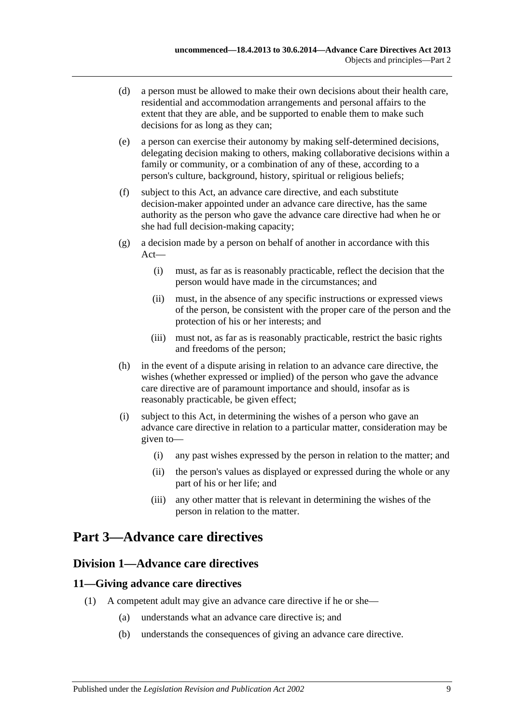- (d) a person must be allowed to make their own decisions about their health care, residential and accommodation arrangements and personal affairs to the extent that they are able, and be supported to enable them to make such decisions for as long as they can;
- (e) a person can exercise their autonomy by making self-determined decisions, delegating decision making to others, making collaborative decisions within a family or community, or a combination of any of these, according to a person's culture, background, history, spiritual or religious beliefs;
- (f) subject to this Act, an advance care directive, and each substitute decision-maker appointed under an advance care directive, has the same authority as the person who gave the advance care directive had when he or she had full decision-making capacity;
- (g) a decision made by a person on behalf of another in accordance with this Act—
	- (i) must, as far as is reasonably practicable, reflect the decision that the person would have made in the circumstances; and
	- (ii) must, in the absence of any specific instructions or expressed views of the person, be consistent with the proper care of the person and the protection of his or her interests; and
	- (iii) must not, as far as is reasonably practicable, restrict the basic rights and freedoms of the person;
- (h) in the event of a dispute arising in relation to an advance care directive, the wishes (whether expressed or implied) of the person who gave the advance care directive are of paramount importance and should, insofar as is reasonably practicable, be given effect;
- (i) subject to this Act, in determining the wishes of a person who gave an advance care directive in relation to a particular matter, consideration may be given to—
	- (i) any past wishes expressed by the person in relation to the matter; and
	- (ii) the person's values as displayed or expressed during the whole or any part of his or her life; and
	- (iii) any other matter that is relevant in determining the wishes of the person in relation to the matter.

# <span id="page-8-1"></span><span id="page-8-0"></span>**Part 3—Advance care directives**

## **Division 1—Advance care directives**

## <span id="page-8-2"></span>**11—Giving advance care directives**

- (1) A competent adult may give an advance care directive if he or she—
	- (a) understands what an advance care directive is; and
	- (b) understands the consequences of giving an advance care directive.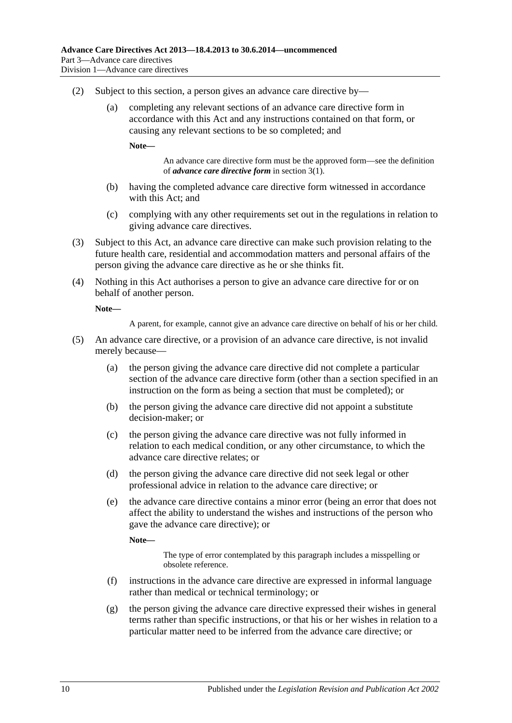- (2) Subject to this section, a person gives an advance care directive by—
	- (a) completing any relevant sections of an advance care directive form in accordance with this Act and any instructions contained on that form, or causing any relevant sections to be so completed; and

**Note—**

An advance care directive form must be the approved form—see the definition of *advance care directive form* i[n section](#page-4-4) 3(1).

- (b) having the completed advance care directive form witnessed in accordance with this Act; and
- (c) complying with any other requirements set out in the regulations in relation to giving advance care directives.
- (3) Subject to this Act, an advance care directive can make such provision relating to the future health care, residential and accommodation matters and personal affairs of the person giving the advance care directive as he or she thinks fit.
- (4) Nothing in this Act authorises a person to give an advance care directive for or on behalf of another person.

**Note—**

A parent, for example, cannot give an advance care directive on behalf of his or her child.

- (5) An advance care directive, or a provision of an advance care directive, is not invalid merely because—
	- (a) the person giving the advance care directive did not complete a particular section of the advance care directive form (other than a section specified in an instruction on the form as being a section that must be completed); or
	- (b) the person giving the advance care directive did not appoint a substitute decision-maker; or
	- (c) the person giving the advance care directive was not fully informed in relation to each medical condition, or any other circumstance, to which the advance care directive relates; or
	- (d) the person giving the advance care directive did not seek legal or other professional advice in relation to the advance care directive; or
	- (e) the advance care directive contains a minor error (being an error that does not affect the ability to understand the wishes and instructions of the person who gave the advance care directive); or

**Note—**

The type of error contemplated by this paragraph includes a misspelling or obsolete reference.

- (f) instructions in the advance care directive are expressed in informal language rather than medical or technical terminology; or
- (g) the person giving the advance care directive expressed their wishes in general terms rather than specific instructions, or that his or her wishes in relation to a particular matter need to be inferred from the advance care directive; or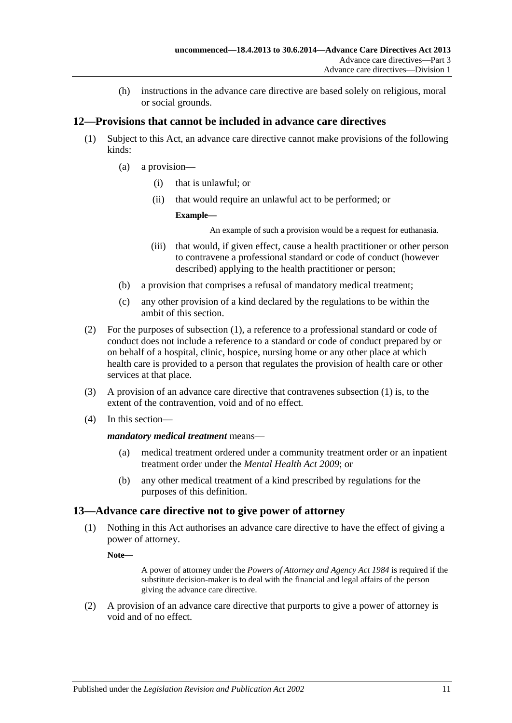(h) instructions in the advance care directive are based solely on religious, moral or social grounds.

## <span id="page-10-2"></span><span id="page-10-0"></span>**12—Provisions that cannot be included in advance care directives**

- (1) Subject to this Act, an advance care directive cannot make provisions of the following kinds:
	- (a) a provision—
		- (i) that is unlawful; or
		- (ii) that would require an unlawful act to be performed; or

### **Example—**

An example of such a provision would be a request for euthanasia.

- (iii) that would, if given effect, cause a health practitioner or other person to contravene a professional standard or code of conduct (however described) applying to the health practitioner or person;
- <span id="page-10-3"></span>(b) a provision that comprises a refusal of mandatory medical treatment;
- (c) any other provision of a kind declared by the regulations to be within the ambit of this section.
- (2) For the purposes of [subsection](#page-10-2) (1), a reference to a professional standard or code of conduct does not include a reference to a standard or code of conduct prepared by or on behalf of a hospital, clinic, hospice, nursing home or any other place at which health care is provided to a person that regulates the provision of health care or other services at that place.
- (3) A provision of an advance care directive that contravenes [subsection](#page-10-2) (1) is, to the extent of the contravention, void and of no effect.
- (4) In this section—

### *mandatory medical treatment* means—

- (a) medical treatment ordered under a community treatment order or an inpatient treatment order under the *[Mental Health Act](http://www.legislation.sa.gov.au/index.aspx?action=legref&type=act&legtitle=Mental%20Health%20Act%202009) 2009*; or
- (b) any other medical treatment of a kind prescribed by regulations for the purposes of this definition.

## <span id="page-10-1"></span>**13—Advance care directive not to give power of attorney**

(1) Nothing in this Act authorises an advance care directive to have the effect of giving a power of attorney.

**Note—**

A power of attorney under the *[Powers of Attorney and Agency Act](http://www.legislation.sa.gov.au/index.aspx?action=legref&type=act&legtitle=Powers%20of%20Attorney%20and%20Agency%20Act%201984) 1984* is required if the substitute decision-maker is to deal with the financial and legal affairs of the person giving the advance care directive.

(2) A provision of an advance care directive that purports to give a power of attorney is void and of no effect.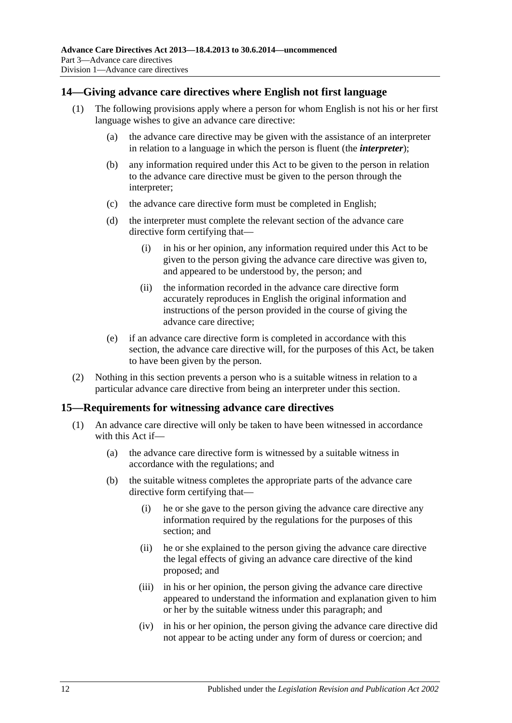### <span id="page-11-0"></span>**14—Giving advance care directives where English not first language**

- (1) The following provisions apply where a person for whom English is not his or her first language wishes to give an advance care directive:
	- (a) the advance care directive may be given with the assistance of an interpreter in relation to a language in which the person is fluent (the *interpreter*);
	- (b) any information required under this Act to be given to the person in relation to the advance care directive must be given to the person through the interpreter;
	- (c) the advance care directive form must be completed in English;
	- (d) the interpreter must complete the relevant section of the advance care directive form certifying that—
		- (i) in his or her opinion, any information required under this Act to be given to the person giving the advance care directive was given to, and appeared to be understood by, the person; and
		- (ii) the information recorded in the advance care directive form accurately reproduces in English the original information and instructions of the person provided in the course of giving the advance care directive;
	- (e) if an advance care directive form is completed in accordance with this section, the advance care directive will, for the purposes of this Act, be taken to have been given by the person.
- (2) Nothing in this section prevents a person who is a suitable witness in relation to a particular advance care directive from being an interpreter under this section.

### <span id="page-11-1"></span>**15—Requirements for witnessing advance care directives**

- (1) An advance care directive will only be taken to have been witnessed in accordance with this Act if—
	- (a) the advance care directive form is witnessed by a suitable witness in accordance with the regulations; and
	- (b) the suitable witness completes the appropriate parts of the advance care directive form certifying that—
		- (i) he or she gave to the person giving the advance care directive any information required by the regulations for the purposes of this section; and
		- (ii) he or she explained to the person giving the advance care directive the legal effects of giving an advance care directive of the kind proposed; and
		- (iii) in his or her opinion, the person giving the advance care directive appeared to understand the information and explanation given to him or her by the suitable witness under this paragraph; and
		- (iv) in his or her opinion, the person giving the advance care directive did not appear to be acting under any form of duress or coercion; and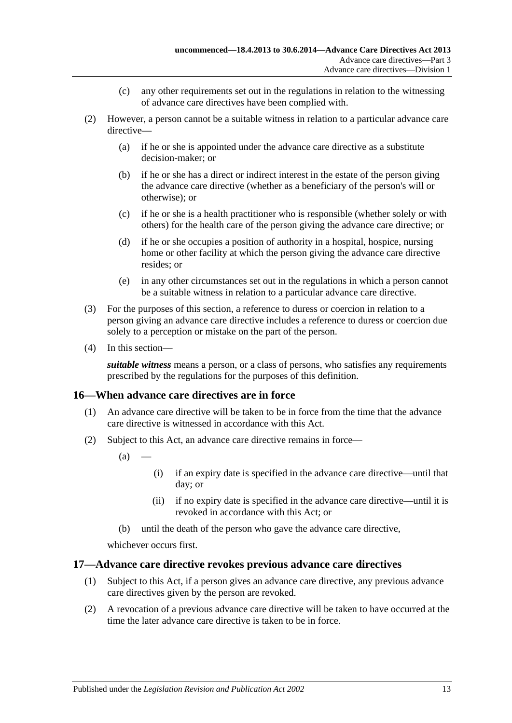- (c) any other requirements set out in the regulations in relation to the witnessing of advance care directives have been complied with.
- (2) However, a person cannot be a suitable witness in relation to a particular advance care directive—
	- (a) if he or she is appointed under the advance care directive as a substitute decision-maker; or
	- (b) if he or she has a direct or indirect interest in the estate of the person giving the advance care directive (whether as a beneficiary of the person's will or otherwise); or
	- (c) if he or she is a health practitioner who is responsible (whether solely or with others) for the health care of the person giving the advance care directive; or
	- (d) if he or she occupies a position of authority in a hospital, hospice, nursing home or other facility at which the person giving the advance care directive resides; or
	- (e) in any other circumstances set out in the regulations in which a person cannot be a suitable witness in relation to a particular advance care directive.
- (3) For the purposes of this section, a reference to duress or coercion in relation to a person giving an advance care directive includes a reference to duress or coercion due solely to a perception or mistake on the part of the person.
- (4) In this section—

*suitable witness* means a person, or a class of persons, who satisfies any requirements prescribed by the regulations for the purposes of this definition.

## <span id="page-12-0"></span>**16—When advance care directives are in force**

- (1) An advance care directive will be taken to be in force from the time that the advance care directive is witnessed in accordance with this Act.
- (2) Subject to this Act, an advance care directive remains in force—
	- $(a)$
- (i) if an expiry date is specified in the advance care directive—until that day; or
- (ii) if no expiry date is specified in the advance care directive—until it is revoked in accordance with this Act; or
- (b) until the death of the person who gave the advance care directive,

whichever occurs first.

## <span id="page-12-1"></span>**17—Advance care directive revokes previous advance care directives**

- (1) Subject to this Act, if a person gives an advance care directive, any previous advance care directives given by the person are revoked.
- (2) A revocation of a previous advance care directive will be taken to have occurred at the time the later advance care directive is taken to be in force.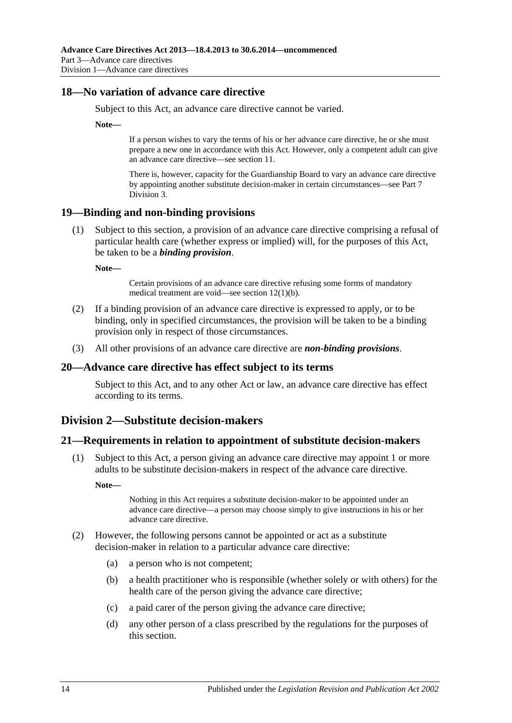### <span id="page-13-0"></span>**18—No variation of advance care directive**

Subject to this Act, an advance care directive cannot be varied.

**Note—**

If a person wishes to vary the terms of his or her advance care directive, he or she must prepare a new one in accordance with this Act. However, only a competent adult can give an advance care directive—see [section](#page-8-2) 11.

There is, however, capacity for the Guardianship Board to vary an advance care directive by appointing another substitute decision-maker in certain circumstances—se[e Part](#page-24-0) 7 [Division](#page-24-0) 3.

### <span id="page-13-1"></span>**19—Binding and non-binding provisions**

(1) Subject to this section, a provision of an advance care directive comprising a refusal of particular health care (whether express or implied) will, for the purposes of this Act, be taken to be a *binding provision*.

**Note—**

Certain provisions of an advance care directive refusing some forms of mandatory medical treatment are void—see section [12\(1\)\(b\).](#page-10-3)

- (2) If a binding provision of an advance care directive is expressed to apply, or to be binding, only in specified circumstances, the provision will be taken to be a binding provision only in respect of those circumstances.
- (3) All other provisions of an advance care directive are *non-binding provisions*.

### <span id="page-13-2"></span>**20—Advance care directive has effect subject to its terms**

Subject to this Act, and to any other Act or law, an advance care directive has effect according to its terms.

## <span id="page-13-3"></span>**Division 2—Substitute decision-makers**

### <span id="page-13-4"></span>**21—Requirements in relation to appointment of substitute decision-makers**

(1) Subject to this Act, a person giving an advance care directive may appoint 1 or more adults to be substitute decision-makers in respect of the advance care directive.

**Note—**

Nothing in this Act requires a substitute decision-maker to be appointed under an advance care directive—a person may choose simply to give instructions in his or her advance care directive.

- <span id="page-13-5"></span>(2) However, the following persons cannot be appointed or act as a substitute decision-maker in relation to a particular advance care directive:
	- (a) a person who is not competent;
	- (b) a health practitioner who is responsible (whether solely or with others) for the health care of the person giving the advance care directive;
	- (c) a paid carer of the person giving the advance care directive;
	- (d) any other person of a class prescribed by the regulations for the purposes of this section.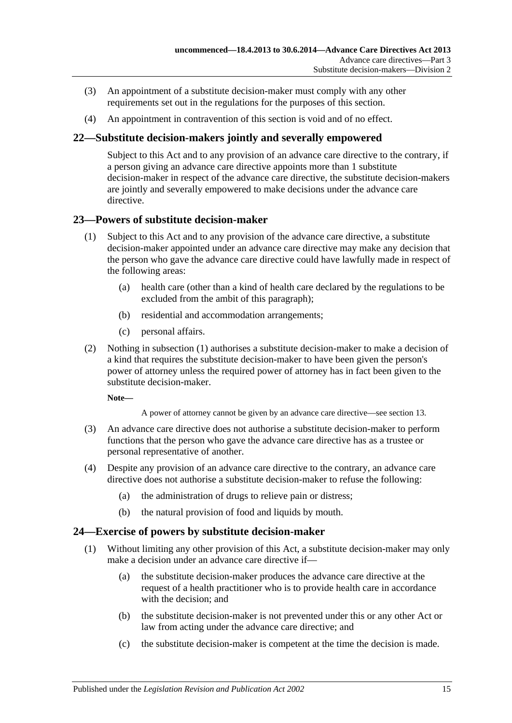- (3) An appointment of a substitute decision-maker must comply with any other requirements set out in the regulations for the purposes of this section.
- (4) An appointment in contravention of this section is void and of no effect.

## <span id="page-14-0"></span>**22—Substitute decision-makers jointly and severally empowered**

Subject to this Act and to any provision of an advance care directive to the contrary, if a person giving an advance care directive appoints more than 1 substitute decision-maker in respect of the advance care directive, the substitute decision-makers are jointly and severally empowered to make decisions under the advance care directive.

## <span id="page-14-3"></span><span id="page-14-1"></span>**23—Powers of substitute decision-maker**

- (1) Subject to this Act and to any provision of the advance care directive, a substitute decision-maker appointed under an advance care directive may make any decision that the person who gave the advance care directive could have lawfully made in respect of the following areas:
	- (a) health care (other than a kind of health care declared by the regulations to be excluded from the ambit of this paragraph);
	- (b) residential and accommodation arrangements;
	- (c) personal affairs.
- (2) Nothing in [subsection](#page-14-3) (1) authorises a substitute decision-maker to make a decision of a kind that requires the substitute decision-maker to have been given the person's power of attorney unless the required power of attorney has in fact been given to the substitute decision-maker.

**Note—**

A power of attorney cannot be given by an advance care directive—se[e section](#page-10-1) 13.

- (3) An advance care directive does not authorise a substitute decision-maker to perform functions that the person who gave the advance care directive has as a trustee or personal representative of another.
- (4) Despite any provision of an advance care directive to the contrary, an advance care directive does not authorise a substitute decision-maker to refuse the following:
	- (a) the administration of drugs to relieve pain or distress;
	- (b) the natural provision of food and liquids by mouth.

## <span id="page-14-2"></span>**24—Exercise of powers by substitute decision-maker**

- (1) Without limiting any other provision of this Act, a substitute decision-maker may only make a decision under an advance care directive if—
	- (a) the substitute decision-maker produces the advance care directive at the request of a health practitioner who is to provide health care in accordance with the decision; and
	- (b) the substitute decision-maker is not prevented under this or any other Act or law from acting under the advance care directive; and
	- (c) the substitute decision-maker is competent at the time the decision is made.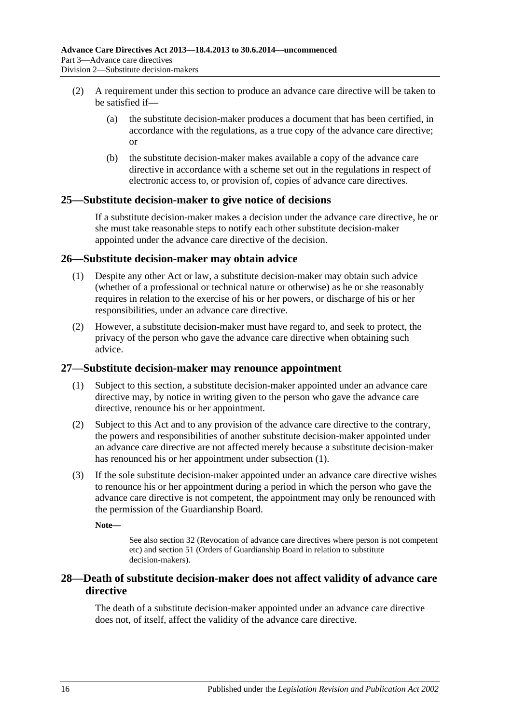- (2) A requirement under this section to produce an advance care directive will be taken to be satisfied if—
	- (a) the substitute decision-maker produces a document that has been certified, in accordance with the regulations, as a true copy of the advance care directive; or
	- (b) the substitute decision-maker makes available a copy of the advance care directive in accordance with a scheme set out in the regulations in respect of electronic access to, or provision of, copies of advance care directives.

## <span id="page-15-0"></span>**25—Substitute decision-maker to give notice of decisions**

If a substitute decision-maker makes a decision under the advance care directive, he or she must take reasonable steps to notify each other substitute decision-maker appointed under the advance care directive of the decision.

### <span id="page-15-1"></span>**26—Substitute decision-maker may obtain advice**

- (1) Despite any other Act or law, a substitute decision-maker may obtain such advice (whether of a professional or technical nature or otherwise) as he or she reasonably requires in relation to the exercise of his or her powers, or discharge of his or her responsibilities, under an advance care directive.
- (2) However, a substitute decision-maker must have regard to, and seek to protect, the privacy of the person who gave the advance care directive when obtaining such advice.

### <span id="page-15-4"></span><span id="page-15-2"></span>**27—Substitute decision-maker may renounce appointment**

- (1) Subject to this section, a substitute decision-maker appointed under an advance care directive may, by notice in writing given to the person who gave the advance care directive, renounce his or her appointment.
- (2) Subject to this Act and to any provision of the advance care directive to the contrary, the powers and responsibilities of another substitute decision-maker appointed under an advance care directive are not affected merely because a substitute decision-maker has renounced his or her appointment under [subsection](#page-15-4) (1).
- (3) If the sole substitute decision-maker appointed under an advance care directive wishes to renounce his or her appointment during a period in which the person who gave the advance care directive is not competent, the appointment may only be renounced with the permission of the Guardianship Board.

**Note—**

See also [section](#page-17-0) 32 (Revocation of advance care directives where person is not competent etc) an[d section](#page-26-0) 51 (Orders of Guardianship Board in relation to substitute decision-makers).

## <span id="page-15-3"></span>**28—Death of substitute decision-maker does not affect validity of advance care directive**

The death of a substitute decision-maker appointed under an advance care directive does not, of itself, affect the validity of the advance care directive.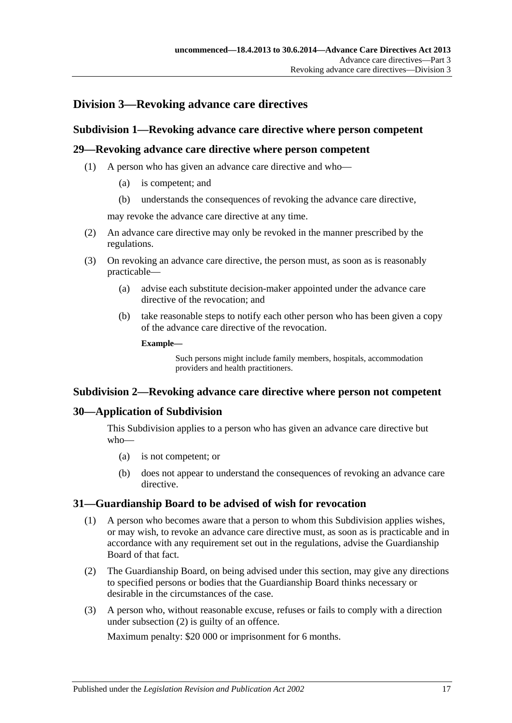# <span id="page-16-1"></span><span id="page-16-0"></span>**Division 3—Revoking advance care directives**

### **Subdivision 1—Revoking advance care directive where person competent**

### <span id="page-16-2"></span>**29—Revoking advance care directive where person competent**

- (1) A person who has given an advance care directive and who—
	- (a) is competent; and
	- (b) understands the consequences of revoking the advance care directive,

may revoke the advance care directive at any time.

- (2) An advance care directive may only be revoked in the manner prescribed by the regulations.
- (3) On revoking an advance care directive, the person must, as soon as is reasonably practicable—
	- (a) advise each substitute decision-maker appointed under the advance care directive of the revocation; and
	- (b) take reasonable steps to notify each other person who has been given a copy of the advance care directive of the revocation.

**Example—**

Such persons might include family members, hospitals, accommodation providers and health practitioners.

### <span id="page-16-3"></span>**Subdivision 2—Revoking advance care directive where person not competent**

### <span id="page-16-4"></span>**30—Application of Subdivision**

This Subdivision applies to a person who has given an advance care directive but who—

- (a) is not competent; or
- (b) does not appear to understand the consequences of revoking an advance care directive.

### <span id="page-16-5"></span>**31—Guardianship Board to be advised of wish for revocation**

- (1) A person who becomes aware that a person to whom this Subdivision applies wishes, or may wish, to revoke an advance care directive must, as soon as is practicable and in accordance with any requirement set out in the regulations, advise the Guardianship Board of that fact.
- <span id="page-16-6"></span>(2) The Guardianship Board, on being advised under this section, may give any directions to specified persons or bodies that the Guardianship Board thinks necessary or desirable in the circumstances of the case.
- <span id="page-16-7"></span>(3) A person who, without reasonable excuse, refuses or fails to comply with a direction under [subsection](#page-16-6) (2) is guilty of an offence.

Maximum penalty: \$20 000 or imprisonment for 6 months.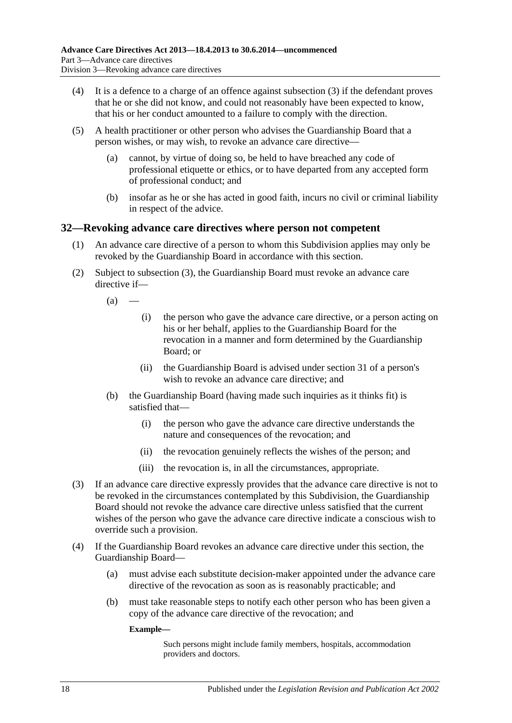- (4) It is a defence to a charge of an offence against [subsection](#page-16-7) (3) if the defendant proves that he or she did not know, and could not reasonably have been expected to know, that his or her conduct amounted to a failure to comply with the direction.
- (5) A health practitioner or other person who advises the Guardianship Board that a person wishes, or may wish, to revoke an advance care directive—
	- (a) cannot, by virtue of doing so, be held to have breached any code of professional etiquette or ethics, or to have departed from any accepted form of professional conduct; and
	- (b) insofar as he or she has acted in good faith, incurs no civil or criminal liability in respect of the advice.

### <span id="page-17-0"></span>**32—Revoking advance care directives where person not competent**

- (1) An advance care directive of a person to whom this Subdivision applies may only be revoked by the Guardianship Board in accordance with this section.
- (2) Subject to [subsection](#page-17-1) (3), the Guardianship Board must revoke an advance care directive if—

 $(a)$ 

- (i) the person who gave the advance care directive, or a person acting on his or her behalf, applies to the Guardianship Board for the revocation in a manner and form determined by the Guardianship Board; or
- (ii) the Guardianship Board is advised under [section](#page-16-5) 31 of a person's wish to revoke an advance care directive; and
- (b) the Guardianship Board (having made such inquiries as it thinks fit) is satisfied that—
	- (i) the person who gave the advance care directive understands the nature and consequences of the revocation; and
	- (ii) the revocation genuinely reflects the wishes of the person; and
	- (iii) the revocation is, in all the circumstances, appropriate.
- <span id="page-17-1"></span>(3) If an advance care directive expressly provides that the advance care directive is not to be revoked in the circumstances contemplated by this Subdivision, the Guardianship Board should not revoke the advance care directive unless satisfied that the current wishes of the person who gave the advance care directive indicate a conscious wish to override such a provision.
- (4) If the Guardianship Board revokes an advance care directive under this section, the Guardianship Board—
	- (a) must advise each substitute decision-maker appointed under the advance care directive of the revocation as soon as is reasonably practicable; and
	- (b) must take reasonable steps to notify each other person who has been given a copy of the advance care directive of the revocation; and

**Example—**

Such persons might include family members, hospitals, accommodation providers and doctors.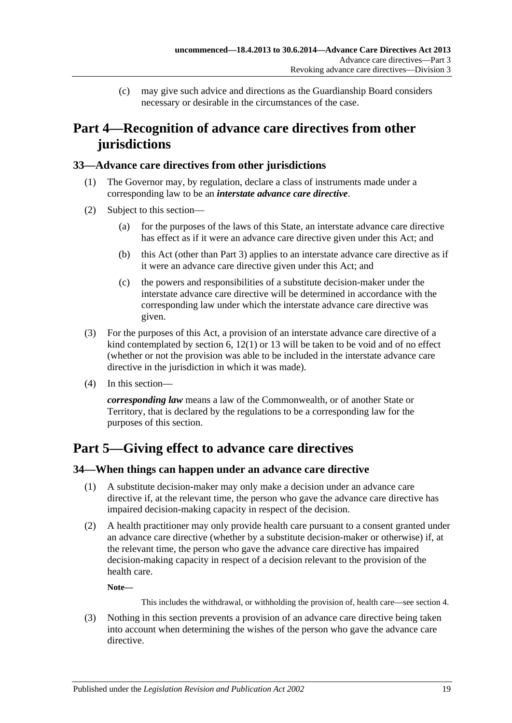(c) may give such advice and directions as the Guardianship Board considers necessary or desirable in the circumstances of the case.

# <span id="page-18-0"></span>**Part 4—Recognition of advance care directives from other jurisdictions**

## <span id="page-18-1"></span>**33—Advance care directives from other jurisdictions**

- (1) The Governor may, by regulation, declare a class of instruments made under a corresponding law to be an *interstate advance care directive*.
- (2) Subject to this section—
	- (a) for the purposes of the laws of this State, an interstate advance care directive has effect as if it were an advance care directive given under this Act; and
	- (b) this Act (other than [Part](#page-8-0) 3) applies to an interstate advance care directive as if it were an advance care directive given under this Act; and
	- (c) the powers and responsibilities of a substitute decision-maker under the interstate advance care directive will be determined in accordance with the corresponding law under which the interstate advance care directive was given.
- (3) For the purposes of this Act, a provision of an interstate advance care directive of a kind contemplated by [section](#page-5-2) 6, [12\(1\)](#page-10-2) or [13](#page-10-1) will be taken to be void and of no effect (whether or not the provision was able to be included in the interstate advance care directive in the jurisdiction in which it was made).
- (4) In this section—

*corresponding law* means a law of the Commonwealth, or of another State or Territory, that is declared by the regulations to be a corresponding law for the purposes of this section.

# <span id="page-18-2"></span>**Part 5—Giving effect to advance care directives**

## <span id="page-18-3"></span>**34—When things can happen under an advance care directive**

- (1) A substitute decision-maker may only make a decision under an advance care directive if, at the relevant time, the person who gave the advance care directive has impaired decision-making capacity in respect of the decision.
- (2) A health practitioner may only provide health care pursuant to a consent granted under an advance care directive (whether by a substitute decision-maker or otherwise) if, at the relevant time, the person who gave the advance care directive has impaired decision-making capacity in respect of a decision relevant to the provision of the health care.

**Note—**

This includes the withdrawal, or withholding the provision of, health care—see [section](#page-5-0) 4.

(3) Nothing in this section prevents a provision of an advance care directive being taken into account when determining the wishes of the person who gave the advance care directive.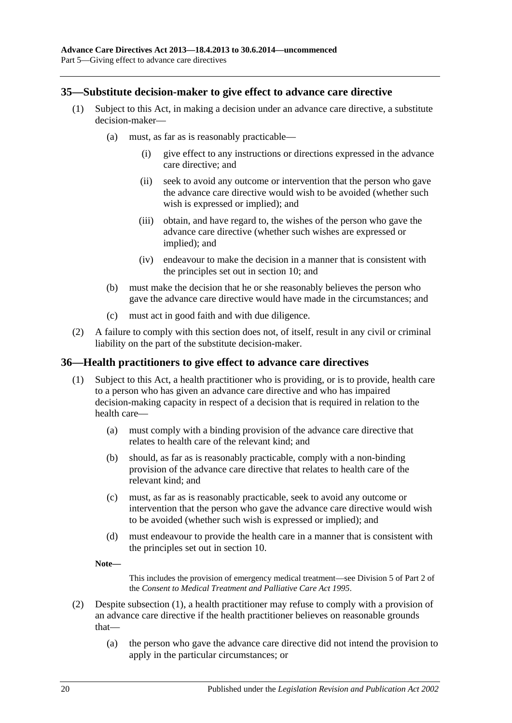## <span id="page-19-0"></span>**35—Substitute decision-maker to give effect to advance care directive**

- (1) Subject to this Act, in making a decision under an advance care directive, a substitute decision-maker—
	- (a) must, as far as is reasonably practicable—
		- (i) give effect to any instructions or directions expressed in the advance care directive; and
		- (ii) seek to avoid any outcome or intervention that the person who gave the advance care directive would wish to be avoided (whether such wish is expressed or implied); and
		- (iii) obtain, and have regard to, the wishes of the person who gave the advance care directive (whether such wishes are expressed or implied); and
		- (iv) endeavour to make the decision in a manner that is consistent with the principles set out in [section](#page-7-3) 10; and
	- (b) must make the decision that he or she reasonably believes the person who gave the advance care directive would have made in the circumstances; and
	- (c) must act in good faith and with due diligence.
- (2) A failure to comply with this section does not, of itself, result in any civil or criminal liability on the part of the substitute decision-maker.

### <span id="page-19-2"></span><span id="page-19-1"></span>**36—Health practitioners to give effect to advance care directives**

- (1) Subject to this Act, a health practitioner who is providing, or is to provide, health care to a person who has given an advance care directive and who has impaired decision-making capacity in respect of a decision that is required in relation to the health care—
	- (a) must comply with a binding provision of the advance care directive that relates to health care of the relevant kind; and
	- (b) should, as far as is reasonably practicable, comply with a non-binding provision of the advance care directive that relates to health care of the relevant kind; and
	- (c) must, as far as is reasonably practicable, seek to avoid any outcome or intervention that the person who gave the advance care directive would wish to be avoided (whether such wish is expressed or implied); and
	- (d) must endeavour to provide the health care in a manner that is consistent with the principles set out in [section](#page-7-3) 10.
	- **Note—**

This includes the provision of emergency medical treatment—see Division 5 of Part 2 of the *[Consent to Medical Treatment and Palliative Care Act](http://www.legislation.sa.gov.au/index.aspx?action=legref&type=act&legtitle=Consent%20to%20Medical%20Treatment%20and%20Palliative%20Care%20Act%201995) 1995*.

- (2) Despite [subsection](#page-19-2) (1), a health practitioner may refuse to comply with a provision of an advance care directive if the health practitioner believes on reasonable grounds that—
	- (a) the person who gave the advance care directive did not intend the provision to apply in the particular circumstances; or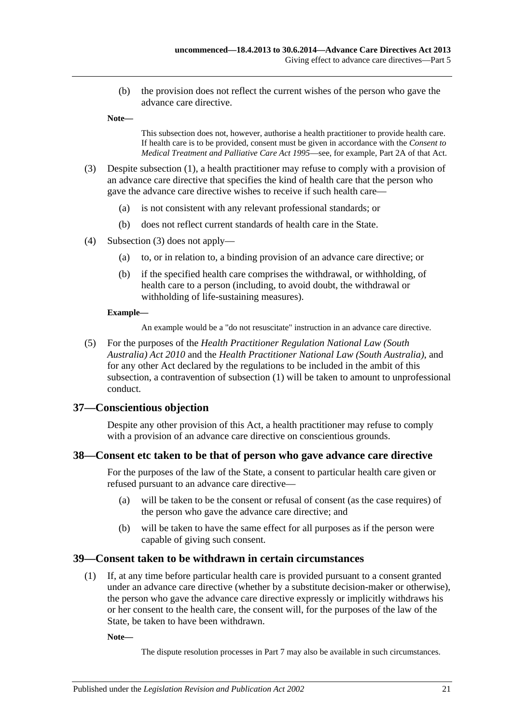(b) the provision does not reflect the current wishes of the person who gave the advance care directive.

**Note—**

This subsection does not, however, authorise a health practitioner to provide health care. If health care is to be provided, consent must be given in accordance with the *[Consent to](http://www.legislation.sa.gov.au/index.aspx?action=legref&type=act&legtitle=Consent%20to%20Medical%20Treatment%20and%20Palliative%20Care%20Act%201995)  [Medical Treatment and Palliative Care Act](http://www.legislation.sa.gov.au/index.aspx?action=legref&type=act&legtitle=Consent%20to%20Medical%20Treatment%20and%20Palliative%20Care%20Act%201995) 1995*—see, for example, Part 2A of that Act.

- <span id="page-20-3"></span>(3) Despite [subsection](#page-19-2) (1), a health practitioner may refuse to comply with a provision of an advance care directive that specifies the kind of health care that the person who gave the advance care directive wishes to receive if such health care—
	- (a) is not consistent with any relevant professional standards; or
	- (b) does not reflect current standards of health care in the State.
- (4) [Subsection](#page-20-3) (3) does not apply—
	- (a) to, or in relation to, a binding provision of an advance care directive; or
	- (b) if the specified health care comprises the withdrawal, or withholding, of health care to a person (including, to avoid doubt, the withdrawal or withholding of life-sustaining measures).

#### **Example—**

An example would be a "do not resuscitate" instruction in an advance care directive.

(5) For the purposes of the *[Health Practitioner Regulation National Law \(South](http://www.legislation.sa.gov.au/index.aspx?action=legref&type=act&legtitle=Health%20Practitioner%20Regulation%20National%20Law%20(South%20Australia)%20Act%202010)  [Australia\) Act](http://www.legislation.sa.gov.au/index.aspx?action=legref&type=act&legtitle=Health%20Practitioner%20Regulation%20National%20Law%20(South%20Australia)%20Act%202010) 2010* and the *[Health Practitioner National Law \(South Australia\)](http://www.legislation.sa.gov.au/index.aspx?action=legref&type=act&legtitle=Health%20Practitioner%20National%20Law%20(South%20Australia))*, and for any other Act declared by the regulations to be included in the ambit of this subsection, a contravention of [subsection](#page-19-2) (1) will be taken to amount to unprofessional conduct.

### <span id="page-20-0"></span>**37—Conscientious objection**

Despite any other provision of this Act, a health practitioner may refuse to comply with a provision of an advance care directive on conscientious grounds.

### <span id="page-20-1"></span>**38—Consent etc taken to be that of person who gave advance care directive**

For the purposes of the law of the State, a consent to particular health care given or refused pursuant to an advance care directive—

- (a) will be taken to be the consent or refusal of consent (as the case requires) of the person who gave the advance care directive; and
- (b) will be taken to have the same effect for all purposes as if the person were capable of giving such consent.

### <span id="page-20-4"></span><span id="page-20-2"></span>**39—Consent taken to be withdrawn in certain circumstances**

(1) If, at any time before particular health care is provided pursuant to a consent granted under an advance care directive (whether by a substitute decision-maker or otherwise), the person who gave the advance care directive expressly or implicitly withdraws his or her consent to the health care, the consent will, for the purposes of the law of the State, be taken to have been withdrawn.

**Note—**

The dispute resolution processes in [Part](#page-21-4) 7 may also be available in such circumstances.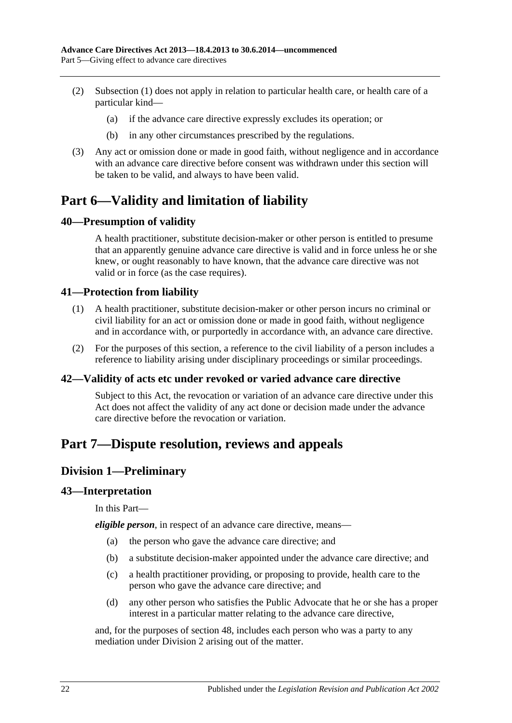- (2) [Subsection](#page-20-4) (1) does not apply in relation to particular health care, or health care of a particular kind—
	- (a) if the advance care directive expressly excludes its operation; or
	- (b) in any other circumstances prescribed by the regulations.
- (3) Any act or omission done or made in good faith, without negligence and in accordance with an advance care directive before consent was withdrawn under this section will be taken to be valid, and always to have been valid.

# <span id="page-21-0"></span>**Part 6—Validity and limitation of liability**

## <span id="page-21-1"></span>**40—Presumption of validity**

A health practitioner, substitute decision-maker or other person is entitled to presume that an apparently genuine advance care directive is valid and in force unless he or she knew, or ought reasonably to have known, that the advance care directive was not valid or in force (as the case requires).

## <span id="page-21-2"></span>**41—Protection from liability**

- (1) A health practitioner, substitute decision-maker or other person incurs no criminal or civil liability for an act or omission done or made in good faith, without negligence and in accordance with, or purportedly in accordance with, an advance care directive.
- (2) For the purposes of this section, a reference to the civil liability of a person includes a reference to liability arising under disciplinary proceedings or similar proceedings.

## <span id="page-21-3"></span>**42—Validity of acts etc under revoked or varied advance care directive**

Subject to this Act, the revocation or variation of an advance care directive under this Act does not affect the validity of any act done or decision made under the advance care directive before the revocation or variation.

# <span id="page-21-5"></span><span id="page-21-4"></span>**Part 7—Dispute resolution, reviews and appeals**

## **Division 1—Preliminary**

### <span id="page-21-6"></span>**43—Interpretation**

In this Part—

*eligible person*, in respect of an advance care directive, means—

- (a) the person who gave the advance care directive; and
- (b) a substitute decision-maker appointed under the advance care directive; and
- (c) a health practitioner providing, or proposing to provide, health care to the person who gave the advance care directive; and
- (d) any other person who satisfies the Public Advocate that he or she has a proper interest in a particular matter relating to the advance care directive,

and, for the purposes of [section](#page-24-2) 48, includes each person who was a party to any mediation under [Division](#page-22-1) 2 arising out of the matter.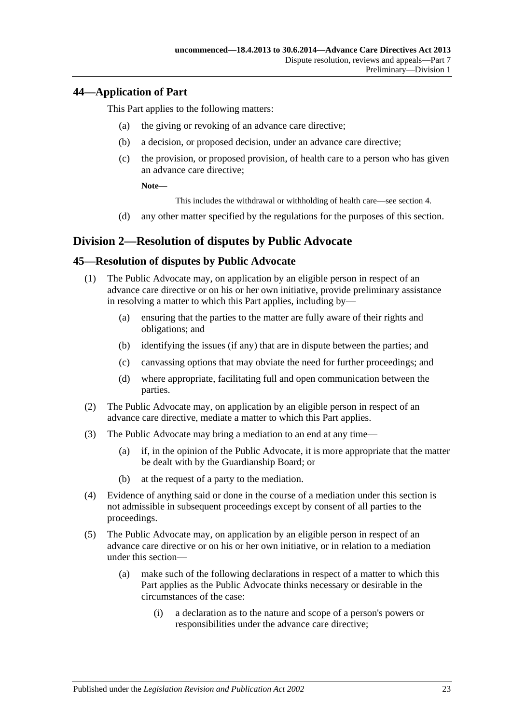## <span id="page-22-0"></span>**44—Application of Part**

This Part applies to the following matters:

- (a) the giving or revoking of an advance care directive;
- (b) a decision, or proposed decision, under an advance care directive;
- (c) the provision, or proposed provision, of health care to a person who has given an advance care directive;

**Note—**

This includes the withdrawal or withholding of health care—see [section](#page-5-0) 4.

(d) any other matter specified by the regulations for the purposes of this section.

## <span id="page-22-1"></span>**Division 2—Resolution of disputes by Public Advocate**

## <span id="page-22-2"></span>**45—Resolution of disputes by Public Advocate**

- (1) The Public Advocate may, on application by an eligible person in respect of an advance care directive or on his or her own initiative, provide preliminary assistance in resolving a matter to which this Part applies, including by—
	- (a) ensuring that the parties to the matter are fully aware of their rights and obligations; and
	- (b) identifying the issues (if any) that are in dispute between the parties; and
	- (c) canvassing options that may obviate the need for further proceedings; and
	- (d) where appropriate, facilitating full and open communication between the parties.
- (2) The Public Advocate may, on application by an eligible person in respect of an advance care directive, mediate a matter to which this Part applies.
- (3) The Public Advocate may bring a mediation to an end at any time—
	- (a) if, in the opinion of the Public Advocate, it is more appropriate that the matter be dealt with by the Guardianship Board; or
	- (b) at the request of a party to the mediation.
- (4) Evidence of anything said or done in the course of a mediation under this section is not admissible in subsequent proceedings except by consent of all parties to the proceedings.
- <span id="page-22-3"></span>(5) The Public Advocate may, on application by an eligible person in respect of an advance care directive or on his or her own initiative, or in relation to a mediation under this section—
	- (a) make such of the following declarations in respect of a matter to which this Part applies as the Public Advocate thinks necessary or desirable in the circumstances of the case:
		- (i) a declaration as to the nature and scope of a person's powers or responsibilities under the advance care directive;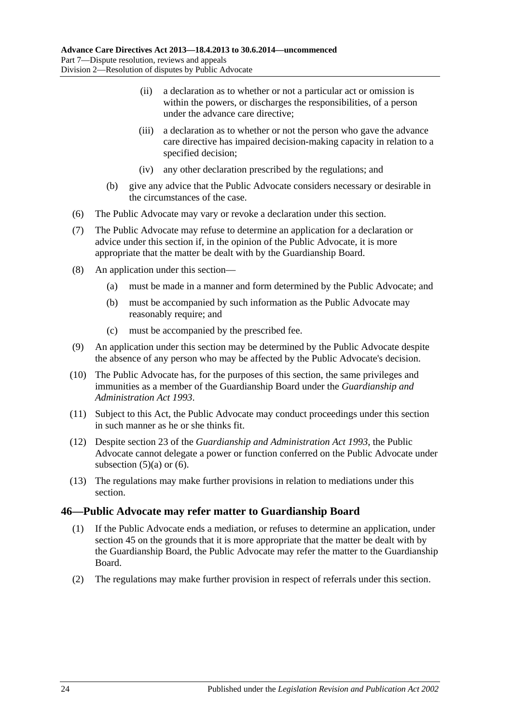- (ii) a declaration as to whether or not a particular act or omission is within the powers, or discharges the responsibilities, of a person under the advance care directive;
- (iii) a declaration as to whether or not the person who gave the advance care directive has impaired decision-making capacity in relation to a specified decision;
- (iv) any other declaration prescribed by the regulations; and
- (b) give any advice that the Public Advocate considers necessary or desirable in the circumstances of the case.
- <span id="page-23-1"></span>(6) The Public Advocate may vary or revoke a declaration under this section.
- (7) The Public Advocate may refuse to determine an application for a declaration or advice under this section if, in the opinion of the Public Advocate, it is more appropriate that the matter be dealt with by the Guardianship Board.
- (8) An application under this section—
	- (a) must be made in a manner and form determined by the Public Advocate; and
	- (b) must be accompanied by such information as the Public Advocate may reasonably require; and
	- (c) must be accompanied by the prescribed fee.
- (9) An application under this section may be determined by the Public Advocate despite the absence of any person who may be affected by the Public Advocate's decision.
- (10) The Public Advocate has, for the purposes of this section, the same privileges and immunities as a member of the Guardianship Board under the *[Guardianship and](http://www.legislation.sa.gov.au/index.aspx?action=legref&type=act&legtitle=Guardianship%20and%20Administration%20Act%201993)  [Administration Act](http://www.legislation.sa.gov.au/index.aspx?action=legref&type=act&legtitle=Guardianship%20and%20Administration%20Act%201993) 1993*.
- (11) Subject to this Act, the Public Advocate may conduct proceedings under this section in such manner as he or she thinks fit.
- (12) Despite section 23 of the *[Guardianship and Administration Act](http://www.legislation.sa.gov.au/index.aspx?action=legref&type=act&legtitle=Guardianship%20and%20Administration%20Act%201993) 1993*, the Public Advocate cannot delegate a power or function conferred on the Public Advocate under [subsection](#page-22-3)  $(5)(a)$  or  $(6)$ .
- (13) The regulations may make further provisions in relation to mediations under this section.

## <span id="page-23-0"></span>**46—Public Advocate may refer matter to Guardianship Board**

- (1) If the Public Advocate ends a mediation, or refuses to determine an application, under [section](#page-22-2) 45 on the grounds that it is more appropriate that the matter be dealt with by the Guardianship Board, the Public Advocate may refer the matter to the Guardianship Board.
- (2) The regulations may make further provision in respect of referrals under this section.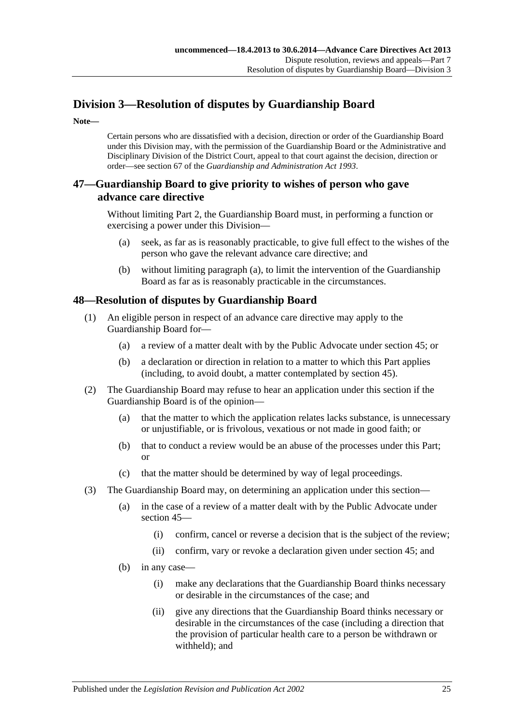# <span id="page-24-0"></span>**Division 3—Resolution of disputes by Guardianship Board**

**Note—**

Certain persons who are dissatisfied with a decision, direction or order of the Guardianship Board under this Division may, with the permission of the Guardianship Board or the Administrative and Disciplinary Division of the District Court, appeal to that court against the decision, direction or order—see section 67 of the *[Guardianship and Administration Act](http://www.legislation.sa.gov.au/index.aspx?action=legref&type=act&legtitle=Guardianship%20and%20Administration%20Act%201993) 1993*.

## <span id="page-24-1"></span>**47—Guardianship Board to give priority to wishes of person who gave advance care directive**

<span id="page-24-3"></span>Without limiting [Part](#page-7-1) 2, the Guardianship Board must, in performing a function or exercising a power under this Division—

- (a) seek, as far as is reasonably practicable, to give full effect to the wishes of the person who gave the relevant advance care directive; and
- (b) without limiting [paragraph](#page-24-3) (a), to limit the intervention of the Guardianship Board as far as is reasonably practicable in the circumstances.

## <span id="page-24-2"></span>**48—Resolution of disputes by Guardianship Board**

- (1) An eligible person in respect of an advance care directive may apply to the Guardianship Board for—
	- (a) a review of a matter dealt with by the Public Advocate under [section](#page-22-2) 45; or
	- (b) a declaration or direction in relation to a matter to which this Part applies (including, to avoid doubt, a matter contemplated by [section](#page-22-2) 45).
- <span id="page-24-4"></span>(2) The Guardianship Board may refuse to hear an application under this section if the Guardianship Board is of the opinion—
	- (a) that the matter to which the application relates lacks substance, is unnecessary or unjustifiable, or is frivolous, vexatious or not made in good faith; or
	- (b) that to conduct a review would be an abuse of the processes under this Part; or
	- (c) that the matter should be determined by way of legal proceedings.
- (3) The Guardianship Board may, on determining an application under this section—
	- (a) in the case of a review of a matter dealt with by the Public Advocate under [section](#page-22-2) 45—
		- (i) confirm, cancel or reverse a decision that is the subject of the review;
		- (ii) confirm, vary or revoke a declaration given under [section](#page-22-2) 45; and
	- (b) in any case—
		- (i) make any declarations that the Guardianship Board thinks necessary or desirable in the circumstances of the case; and
		- (ii) give any directions that the Guardianship Board thinks necessary or desirable in the circumstances of the case (including a direction that the provision of particular health care to a person be withdrawn or withheld); and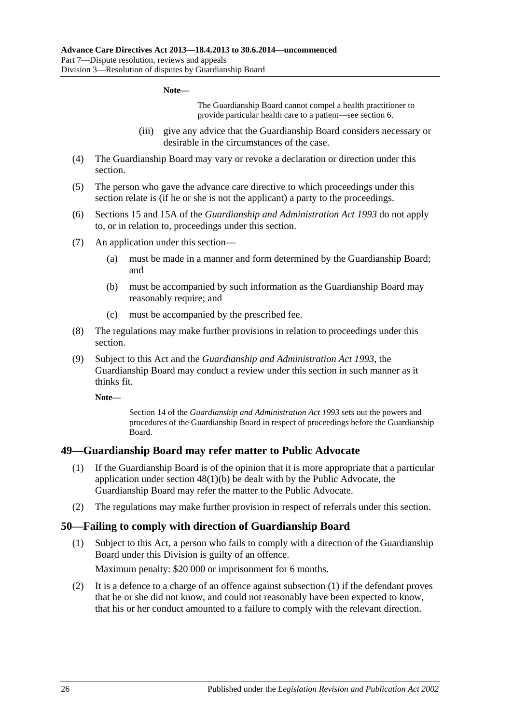### **Note—**

The Guardianship Board cannot compel a health practitioner to provide particular health care to a patient—see [section](#page-5-2) 6.

- (iii) give any advice that the Guardianship Board considers necessary or desirable in the circumstances of the case.
- (4) The Guardianship Board may vary or revoke a declaration or direction under this section.
- (5) The person who gave the advance care directive to which proceedings under this section relate is (if he or she is not the applicant) a party to the proceedings.
- (6) Sections 15 and 15A of the *[Guardianship and Administration Act](http://www.legislation.sa.gov.au/index.aspx?action=legref&type=act&legtitle=Guardianship%20and%20Administration%20Act%201993) 1993* do not apply to, or in relation to, proceedings under this section.
- (7) An application under this section—
	- (a) must be made in a manner and form determined by the Guardianship Board; and
	- (b) must be accompanied by such information as the Guardianship Board may reasonably require; and
	- (c) must be accompanied by the prescribed fee.
- (8) The regulations may make further provisions in relation to proceedings under this section.
- (9) Subject to this Act and the *[Guardianship and Administration Act](http://www.legislation.sa.gov.au/index.aspx?action=legref&type=act&legtitle=Guardianship%20and%20Administration%20Act%201993) 1993*, the Guardianship Board may conduct a review under this section in such manner as it thinks fit.

**Note—**

Section 14 of the *[Guardianship and Administration Act](http://www.legislation.sa.gov.au/index.aspx?action=legref&type=act&legtitle=Guardianship%20and%20Administration%20Act%201993) 1993* sets out the powers and procedures of the Guardianship Board in respect of proceedings before the Guardianship Board.

### <span id="page-25-0"></span>**49—Guardianship Board may refer matter to Public Advocate**

- (1) If the Guardianship Board is of the opinion that it is more appropriate that a particular application under section [48\(1\)\(b\)](#page-24-4) be dealt with by the Public Advocate, the Guardianship Board may refer the matter to the Public Advocate.
- (2) The regulations may make further provision in respect of referrals under this section.

### <span id="page-25-2"></span><span id="page-25-1"></span>**50—Failing to comply with direction of Guardianship Board**

(1) Subject to this Act, a person who fails to comply with a direction of the Guardianship Board under this Division is guilty of an offence.

Maximum penalty: \$20 000 or imprisonment for 6 months.

(2) It is a defence to a charge of an offence against [subsection](#page-25-2) (1) if the defendant proves that he or she did not know, and could not reasonably have been expected to know, that his or her conduct amounted to a failure to comply with the relevant direction.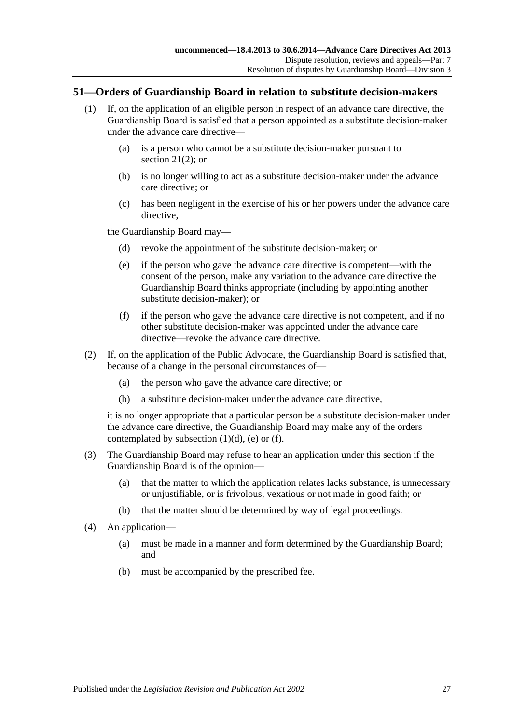### <span id="page-26-0"></span>**51—Orders of Guardianship Board in relation to substitute decision-makers**

- (1) If, on the application of an eligible person in respect of an advance care directive, the Guardianship Board is satisfied that a person appointed as a substitute decision-maker under the advance care directive—
	- (a) is a person who cannot be a substitute decision-maker pursuant to [section](#page-13-5)  $21(2)$ ; or
	- (b) is no longer willing to act as a substitute decision-maker under the advance care directive; or
	- (c) has been negligent in the exercise of his or her powers under the advance care directive.

<span id="page-26-2"></span><span id="page-26-1"></span>the Guardianship Board may—

- (d) revoke the appointment of the substitute decision-maker; or
- (e) if the person who gave the advance care directive is competent—with the consent of the person, make any variation to the advance care directive the Guardianship Board thinks appropriate (including by appointing another substitute decision-maker); or
- (f) if the person who gave the advance care directive is not competent, and if no other substitute decision-maker was appointed under the advance care directive—revoke the advance care directive.
- <span id="page-26-3"></span>(2) If, on the application of the Public Advocate, the Guardianship Board is satisfied that, because of a change in the personal circumstances of—
	- (a) the person who gave the advance care directive; or
	- (b) a substitute decision-maker under the advance care directive,

it is no longer appropriate that a particular person be a substitute decision-maker under the advance care directive, the Guardianship Board may make any of the orders contemplated by [subsection](#page-26-1)  $(1)(d)$ ,  $(e)$  or  $(f)$ .

- (3) The Guardianship Board may refuse to hear an application under this section if the Guardianship Board is of the opinion—
	- (a) that the matter to which the application relates lacks substance, is unnecessary or unjustifiable, or is frivolous, vexatious or not made in good faith; or
	- (b) that the matter should be determined by way of legal proceedings.
- (4) An application—
	- (a) must be made in a manner and form determined by the Guardianship Board; and
	- (b) must be accompanied by the prescribed fee.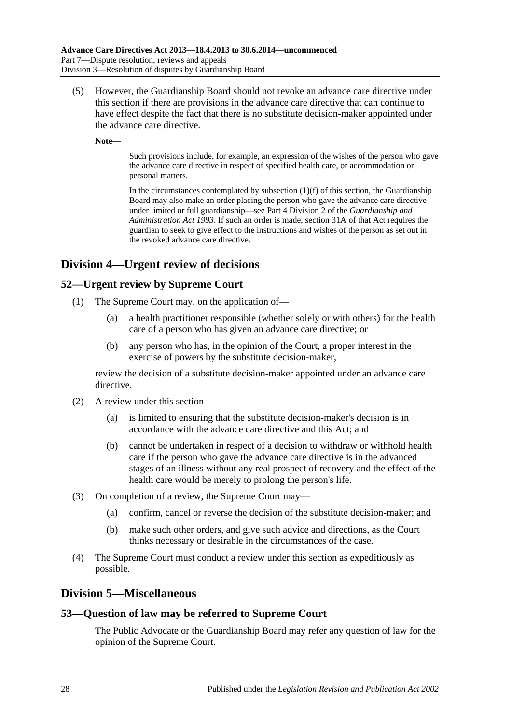(5) However, the Guardianship Board should not revoke an advance care directive under this section if there are provisions in the advance care directive that can continue to have effect despite the fact that there is no substitute decision-maker appointed under the advance care directive.

**Note—**

Such provisions include, for example, an expression of the wishes of the person who gave the advance care directive in respect of specified health care, or accommodation or personal matters.

In the circumstances contemplated by [subsection](#page-26-3)  $(1)(f)$  of this section, the Guardianship Board may also make an order placing the person who gave the advance care directive under limited or full guardianship—see Part 4 Division 2 of the *[Guardianship and](http://www.legislation.sa.gov.au/index.aspx?action=legref&type=act&legtitle=Guardianship%20and%20Administration%20Act%201993)  [Administration Act](http://www.legislation.sa.gov.au/index.aspx?action=legref&type=act&legtitle=Guardianship%20and%20Administration%20Act%201993) 1993*. If such an order is made, section 31A of that Act requires the guardian to seek to give effect to the instructions and wishes of the person as set out in the revoked advance care directive.

# <span id="page-27-0"></span>**Division 4—Urgent review of decisions**

## <span id="page-27-1"></span>**52—Urgent review by Supreme Court**

- (1) The Supreme Court may, on the application of—
	- (a) a health practitioner responsible (whether solely or with others) for the health care of a person who has given an advance care directive; or
	- (b) any person who has, in the opinion of the Court, a proper interest in the exercise of powers by the substitute decision-maker,

review the decision of a substitute decision-maker appointed under an advance care directive.

- (2) A review under this section—
	- (a) is limited to ensuring that the substitute decision-maker's decision is in accordance with the advance care directive and this Act; and
	- (b) cannot be undertaken in respect of a decision to withdraw or withhold health care if the person who gave the advance care directive is in the advanced stages of an illness without any real prospect of recovery and the effect of the health care would be merely to prolong the person's life.
- (3) On completion of a review, the Supreme Court may—
	- (a) confirm, cancel or reverse the decision of the substitute decision-maker; and
	- (b) make such other orders, and give such advice and directions, as the Court thinks necessary or desirable in the circumstances of the case.
- (4) The Supreme Court must conduct a review under this section as expeditiously as possible.

## <span id="page-27-2"></span>**Division 5—Miscellaneous**

## <span id="page-27-3"></span>**53—Question of law may be referred to Supreme Court**

The Public Advocate or the Guardianship Board may refer any question of law for the opinion of the Supreme Court.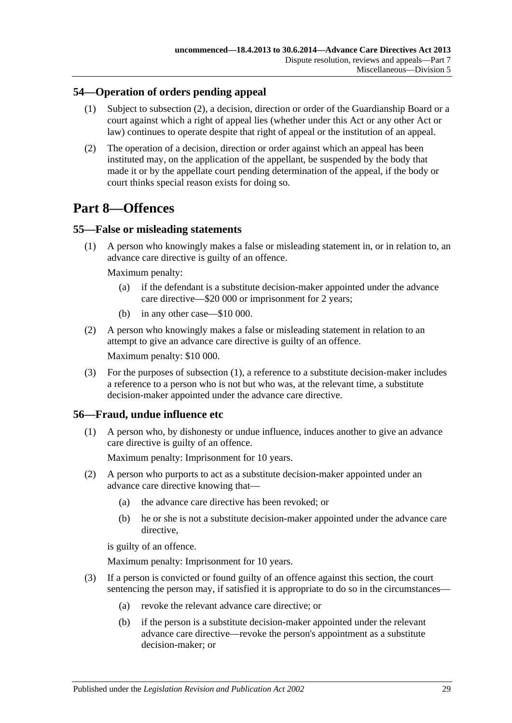## <span id="page-28-0"></span>**54—Operation of orders pending appeal**

- (1) Subject to [subsection](#page-28-4) (2), a decision, direction or order of the Guardianship Board or a court against which a right of appeal lies (whether under this Act or any other Act or law) continues to operate despite that right of appeal or the institution of an appeal.
- <span id="page-28-4"></span>(2) The operation of a decision, direction or order against which an appeal has been instituted may, on the application of the appellant, be suspended by the body that made it or by the appellate court pending determination of the appeal, if the body or court thinks special reason exists for doing so.

# <span id="page-28-1"></span>**Part 8—Offences**

## <span id="page-28-5"></span><span id="page-28-2"></span>**55—False or misleading statements**

(1) A person who knowingly makes a false or misleading statement in, or in relation to, an advance care directive is guilty of an offence.

Maximum penalty:

- (a) if the defendant is a substitute decision-maker appointed under the advance care directive—\$20 000 or imprisonment for 2 years;
- (b) in any other case—\$10 000.
- (2) A person who knowingly makes a false or misleading statement in relation to an attempt to give an advance care directive is guilty of an offence.

Maximum penalty: \$10 000.

(3) For the purposes of [subsection](#page-28-5) (1), a reference to a substitute decision-maker includes a reference to a person who is not but who was, at the relevant time, a substitute decision-maker appointed under the advance care directive.

## <span id="page-28-3"></span>**56—Fraud, undue influence etc**

(1) A person who, by dishonesty or undue influence, induces another to give an advance care directive is guilty of an offence.

Maximum penalty: Imprisonment for 10 years.

- (2) A person who purports to act as a substitute decision-maker appointed under an advance care directive knowing that—
	- (a) the advance care directive has been revoked; or
	- (b) he or she is not a substitute decision-maker appointed under the advance care directive,

is guilty of an offence.

Maximum penalty: Imprisonment for 10 years.

- (3) If a person is convicted or found guilty of an offence against this section, the court sentencing the person may, if satisfied it is appropriate to do so in the circumstances—
	- (a) revoke the relevant advance care directive; or
	- (b) if the person is a substitute decision-maker appointed under the relevant advance care directive—revoke the person's appointment as a substitute decision-maker; or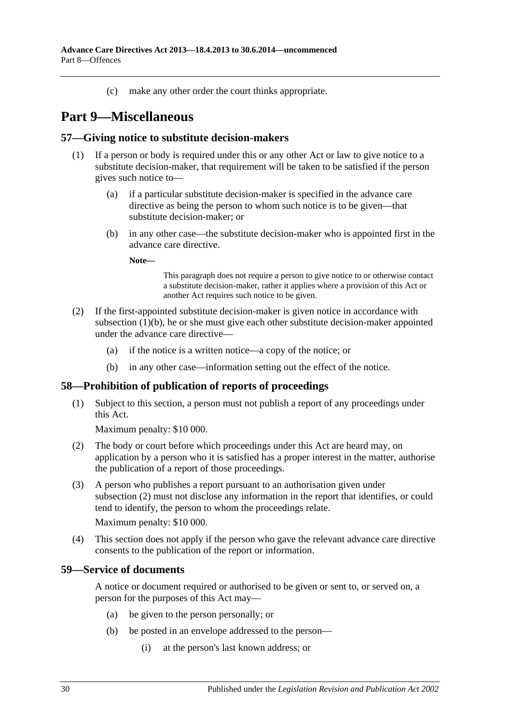(c) make any other order the court thinks appropriate.

# <span id="page-29-0"></span>**Part 9—Miscellaneous**

### <span id="page-29-1"></span>**57—Giving notice to substitute decision-makers**

- <span id="page-29-4"></span>(1) If a person or body is required under this or any other Act or law to give notice to a substitute decision-maker, that requirement will be taken to be satisfied if the person gives such notice to—
	- (a) if a particular substitute decision-maker is specified in the advance care directive as being the person to whom such notice is to be given—that substitute decision-maker; or
	- (b) in any other case—the substitute decision-maker who is appointed first in the advance care directive.

**Note—**

This paragraph does not require a person to give notice to or otherwise contact a substitute decision-maker, rather it applies where a provision of this Act or another Act requires such notice to be given.

- (2) If the first-appointed substitute decision-maker is given notice in accordance with [subsection](#page-29-4) (1)(b), he or she must give each other substitute decision-maker appointed under the advance care directive—
	- (a) if the notice is a written notice—a copy of the notice; or
	- (b) in any other case—information setting out the effect of the notice.

## <span id="page-29-2"></span>**58—Prohibition of publication of reports of proceedings**

(1) Subject to this section, a person must not publish a report of any proceedings under this Act.

Maximum penalty: \$10 000.

- <span id="page-29-5"></span>(2) The body or court before which proceedings under this Act are heard may, on application by a person who it is satisfied has a proper interest in the matter, authorise the publication of a report of those proceedings.
- (3) A person who publishes a report pursuant to an authorisation given under [subsection](#page-29-5) (2) must not disclose any information in the report that identifies, or could tend to identify, the person to whom the proceedings relate. Maximum penalty: \$10 000.
- (4) This section does not apply if the person who gave the relevant advance care directive consents to the publication of the report or information.

### <span id="page-29-3"></span>**59—Service of documents**

A notice or document required or authorised to be given or sent to, or served on, a person for the purposes of this Act may—

- (a) be given to the person personally; or
- (b) be posted in an envelope addressed to the person—
	- (i) at the person's last known address; or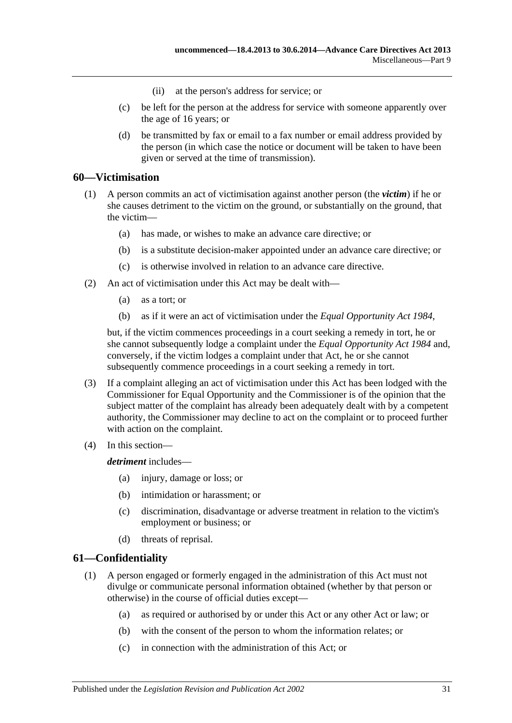- (ii) at the person's address for service; or
- (c) be left for the person at the address for service with someone apparently over the age of 16 years; or
- (d) be transmitted by fax or email to a fax number or email address provided by the person (in which case the notice or document will be taken to have been given or served at the time of transmission).

### <span id="page-30-0"></span>**60—Victimisation**

- (1) A person commits an act of victimisation against another person (the *victim*) if he or she causes detriment to the victim on the ground, or substantially on the ground, that the victim—
	- (a) has made, or wishes to make an advance care directive; or
	- (b) is a substitute decision-maker appointed under an advance care directive; or
	- (c) is otherwise involved in relation to an advance care directive.
- (2) An act of victimisation under this Act may be dealt with—
	- (a) as a tort; or
	- (b) as if it were an act of victimisation under the *[Equal Opportunity Act](http://www.legislation.sa.gov.au/index.aspx?action=legref&type=act&legtitle=Equal%20Opportunity%20Act%201984) 1984*,

but, if the victim commences proceedings in a court seeking a remedy in tort, he or she cannot subsequently lodge a complaint under the *[Equal Opportunity Act](http://www.legislation.sa.gov.au/index.aspx?action=legref&type=act&legtitle=Equal%20Opportunity%20Act%201984) 1984* and, conversely, if the victim lodges a complaint under that Act, he or she cannot subsequently commence proceedings in a court seeking a remedy in tort.

- (3) If a complaint alleging an act of victimisation under this Act has been lodged with the Commissioner for Equal Opportunity and the Commissioner is of the opinion that the subject matter of the complaint has already been adequately dealt with by a competent authority, the Commissioner may decline to act on the complaint or to proceed further with action on the complaint.
- (4) In this section—

*detriment* includes—

- (a) injury, damage or loss; or
- (b) intimidation or harassment; or
- (c) discrimination, disadvantage or adverse treatment in relation to the victim's employment or business; or
- (d) threats of reprisal.

### <span id="page-30-2"></span><span id="page-30-1"></span>**61—Confidentiality**

- (1) A person engaged or formerly engaged in the administration of this Act must not divulge or communicate personal information obtained (whether by that person or otherwise) in the course of official duties except—
	- (a) as required or authorised by or under this Act or any other Act or law; or
	- (b) with the consent of the person to whom the information relates; or
	- (c) in connection with the administration of this Act; or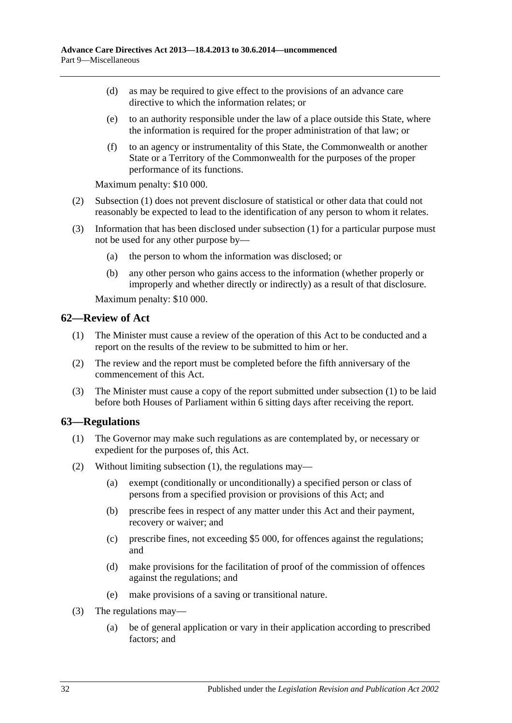- (d) as may be required to give effect to the provisions of an advance care directive to which the information relates; or
- (e) to an authority responsible under the law of a place outside this State, where the information is required for the proper administration of that law; or
- (f) to an agency or instrumentality of this State, the Commonwealth or another State or a Territory of the Commonwealth for the purposes of the proper performance of its functions.

Maximum penalty: \$10 000.

- (2) [Subsection](#page-30-2) (1) does not prevent disclosure of statistical or other data that could not reasonably be expected to lead to the identification of any person to whom it relates.
- (3) Information that has been disclosed under [subsection](#page-30-2) (1) for a particular purpose must not be used for any other purpose by—
	- (a) the person to whom the information was disclosed; or
	- (b) any other person who gains access to the information (whether properly or improperly and whether directly or indirectly) as a result of that disclosure.

Maximum penalty: \$10 000.

### <span id="page-31-2"></span><span id="page-31-0"></span>**62—Review of Act**

- (1) The Minister must cause a review of the operation of this Act to be conducted and a report on the results of the review to be submitted to him or her.
- (2) The review and the report must be completed before the fifth anniversary of the commencement of this Act.
- (3) The Minister must cause a copy of the report submitted under [subsection](#page-31-2) (1) to be laid before both Houses of Parliament within 6 sitting days after receiving the report.

### <span id="page-31-3"></span><span id="page-31-1"></span>**63—Regulations**

- (1) The Governor may make such regulations as are contemplated by, or necessary or expedient for the purposes of, this Act.
- (2) Without limiting [subsection](#page-31-3) (1), the regulations may—
	- (a) exempt (conditionally or unconditionally) a specified person or class of persons from a specified provision or provisions of this Act; and
	- (b) prescribe fees in respect of any matter under this Act and their payment, recovery or waiver; and
	- (c) prescribe fines, not exceeding \$5 000, for offences against the regulations; and
	- (d) make provisions for the facilitation of proof of the commission of offences against the regulations; and
	- (e) make provisions of a saving or transitional nature.
- (3) The regulations may—
	- (a) be of general application or vary in their application according to prescribed factors; and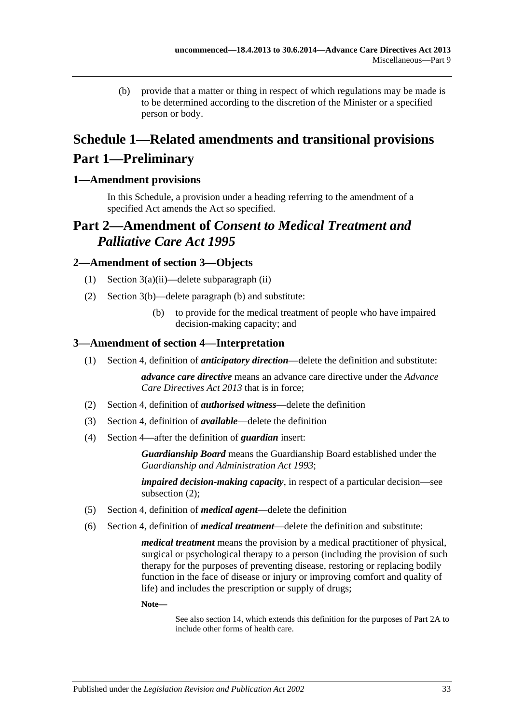(b) provide that a matter or thing in respect of which regulations may be made is to be determined according to the discretion of the Minister or a specified person or body.

# <span id="page-32-0"></span>**Schedule 1—Related amendments and transitional provisions Part 1—Preliminary**

## <span id="page-32-1"></span>**1—Amendment provisions**

In this Schedule, a provision under a heading referring to the amendment of a specified Act amends the Act so specified.

# **Part 2—Amendment of** *Consent to Medical Treatment and Palliative Care Act 1995*

### <span id="page-32-2"></span>**2—Amendment of section 3—Objects**

- (1) Section 3(a)(ii)—delete subparagraph (ii)
- (2) Section 3(b)—delete paragraph (b) and substitute:
	- (b) to provide for the medical treatment of people who have impaired decision-making capacity; and

### <span id="page-32-3"></span>**3—Amendment of section 4—Interpretation**

(1) Section 4, definition of *anticipatory direction*—delete the definition and substitute:

*advance care directive* means an advance care directive under the *[Advance](http://www.legislation.sa.gov.au/index.aspx?action=legref&type=act&legtitle=Advance%20Care%20Directives%20Act%202013)  [Care Directives Act](http://www.legislation.sa.gov.au/index.aspx?action=legref&type=act&legtitle=Advance%20Care%20Directives%20Act%202013) 2013* that is in force;

- (2) Section 4, definition of *authorised witness*—delete the definition
- (3) Section 4, definition of *available*—delete the definition
- (4) Section 4—after the definition of *guardian* insert:

*Guardianship Board* means the Guardianship Board established under the *[Guardianship and Administration Act](http://www.legislation.sa.gov.au/index.aspx?action=legref&type=act&legtitle=Guardianship%20and%20Administration%20Act%201993) 1993*;

*impaired decision-making capacity*, in respect of a particular decision—see subsection (2);

- (5) Section 4, definition of *medical agent*—delete the definition
- (6) Section 4, definition of *medical treatment*—delete the definition and substitute:

*medical treatment* means the provision by a medical practitioner of physical, surgical or psychological therapy to a person (including the provision of such therapy for the purposes of preventing disease, restoring or replacing bodily function in the face of disease or injury or improving comfort and quality of life) and includes the prescription or supply of drugs;

**Note—**

See also section 14, which extends this definition for the purposes of Part 2A to include other forms of health care.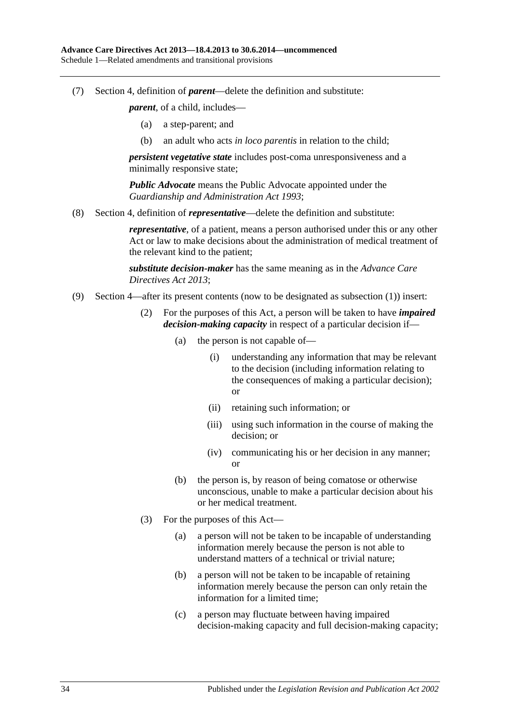(7) Section 4, definition of *parent*—delete the definition and substitute:

*parent*, of a child, includes—

- (a) a step-parent; and
- (b) an adult who acts *in loco parentis* in relation to the child;

*persistent vegetative state* includes post-coma unresponsiveness and a minimally responsive state;

*Public Advocate* means the Public Advocate appointed under the *[Guardianship and Administration Act](http://www.legislation.sa.gov.au/index.aspx?action=legref&type=act&legtitle=Guardianship%20and%20Administration%20Act%201993) 1993*;

(8) Section 4, definition of *representative*—delete the definition and substitute:

*representative*, of a patient, means a person authorised under this or any other Act or law to make decisions about the administration of medical treatment of the relevant kind to the patient;

*substitute decision-maker* has the same meaning as in the *[Advance Care](http://www.legislation.sa.gov.au/index.aspx?action=legref&type=act&legtitle=Advance%20Care%20Directives%20Act%202013)  [Directives Act](http://www.legislation.sa.gov.au/index.aspx?action=legref&type=act&legtitle=Advance%20Care%20Directives%20Act%202013) 2013*;

- (9) Section 4—after its present contents (now to be designated as subsection (1)) insert:
	- (2) For the purposes of this Act, a person will be taken to have *impaired decision-making capacity* in respect of a particular decision if—
		- (a) the person is not capable of—
			- (i) understanding any information that may be relevant to the decision (including information relating to the consequences of making a particular decision); or
			- (ii) retaining such information; or
			- (iii) using such information in the course of making the decision; or
			- (iv) communicating his or her decision in any manner; or
		- (b) the person is, by reason of being comatose or otherwise unconscious, unable to make a particular decision about his or her medical treatment.
	- (3) For the purposes of this Act—
		- (a) a person will not be taken to be incapable of understanding information merely because the person is not able to understand matters of a technical or trivial nature;
		- (b) a person will not be taken to be incapable of retaining information merely because the person can only retain the information for a limited time;
		- (c) a person may fluctuate between having impaired decision-making capacity and full decision-making capacity;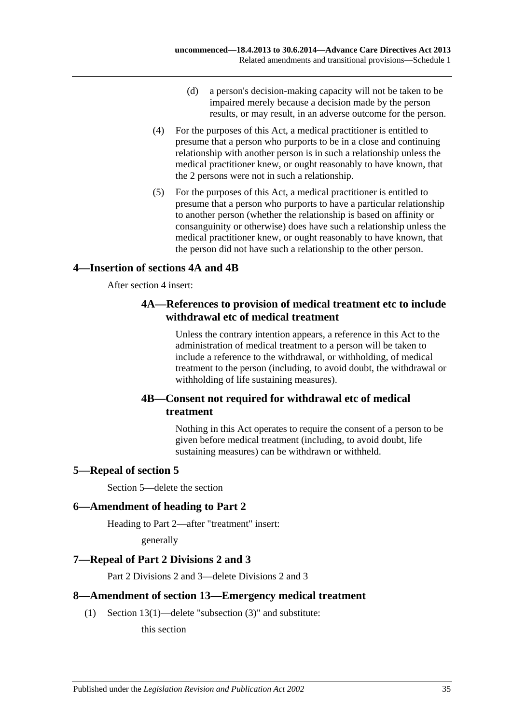- (d) a person's decision-making capacity will not be taken to be impaired merely because a decision made by the person results, or may result, in an adverse outcome for the person.
- (4) For the purposes of this Act, a medical practitioner is entitled to presume that a person who purports to be in a close and continuing relationship with another person is in such a relationship unless the medical practitioner knew, or ought reasonably to have known, that the 2 persons were not in such a relationship.
- (5) For the purposes of this Act, a medical practitioner is entitled to presume that a person who purports to have a particular relationship to another person (whether the relationship is based on affinity or consanguinity or otherwise) does have such a relationship unless the medical practitioner knew, or ought reasonably to have known, that the person did not have such a relationship to the other person.

## <span id="page-34-0"></span>**4—Insertion of sections 4A and 4B**

After section 4 insert:

## **4A—References to provision of medical treatment etc to include withdrawal etc of medical treatment**

Unless the contrary intention appears, a reference in this Act to the administration of medical treatment to a person will be taken to include a reference to the withdrawal, or withholding, of medical treatment to the person (including, to avoid doubt, the withdrawal or withholding of life sustaining measures).

## **4B—Consent not required for withdrawal etc of medical treatment**

Nothing in this Act operates to require the consent of a person to be given before medical treatment (including, to avoid doubt, life sustaining measures) can be withdrawn or withheld.

## <span id="page-34-1"></span>**5—Repeal of section 5**

Section 5—delete the section

## <span id="page-34-2"></span>**6—Amendment of heading to Part 2**

Heading to Part 2—after "treatment" insert:

generally

## <span id="page-34-3"></span>**7—Repeal of Part 2 Divisions 2 and 3**

Part 2 Divisions 2 and 3—delete Divisions 2 and 3

## <span id="page-34-4"></span>**8—Amendment of section 13—Emergency medical treatment**

(1) Section 13(1)—delete "subsection (3)" and substitute:

this section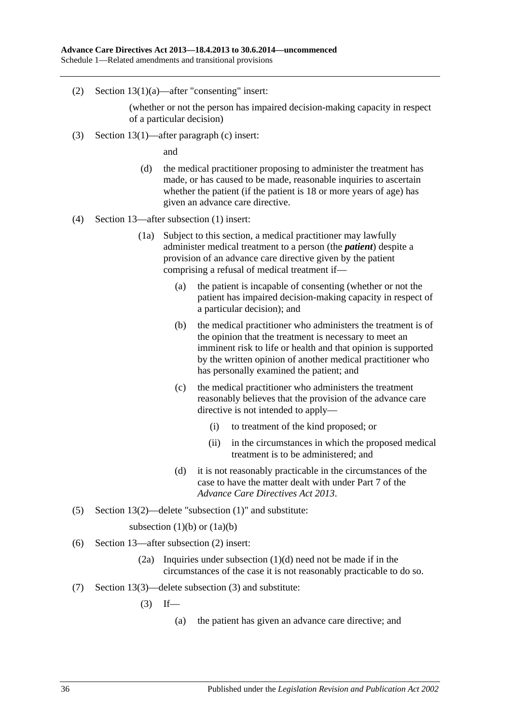(2) Section 13(1)(a)—after "consenting" insert:

(whether or not the person has impaired decision-making capacity in respect of a particular decision)

(3) Section 13(1)—after paragraph (c) insert:

and

- (d) the medical practitioner proposing to administer the treatment has made, or has caused to be made, reasonable inquiries to ascertain whether the patient (if the patient is 18 or more years of age) has given an advance care directive.
- (4) Section 13—after subsection (1) insert:
	- (1a) Subject to this section, a medical practitioner may lawfully administer medical treatment to a person (the *patient*) despite a provision of an advance care directive given by the patient comprising a refusal of medical treatment if—
		- (a) the patient is incapable of consenting (whether or not the patient has impaired decision-making capacity in respect of a particular decision); and
		- (b) the medical practitioner who administers the treatment is of the opinion that the treatment is necessary to meet an imminent risk to life or health and that opinion is supported by the written opinion of another medical practitioner who has personally examined the patient; and
		- (c) the medical practitioner who administers the treatment reasonably believes that the provision of the advance care directive is not intended to apply—
			- (i) to treatment of the kind proposed; or
			- (ii) in the circumstances in which the proposed medical treatment is to be administered; and
		- (d) it is not reasonably practicable in the circumstances of the case to have the matter dealt with under Part 7 of the *[Advance Care Directives Act](http://www.legislation.sa.gov.au/index.aspx?action=legref&type=act&legtitle=Advance%20Care%20Directives%20Act%202013) 2013*.
- (5) Section 13(2)—delete "subsection (1)" and substitute:

subsection  $(1)(b)$  or  $(1a)(b)$ 

- (6) Section 13—after subsection (2) insert:
	- (2a) Inquiries under subsection (1)(d) need not be made if in the circumstances of the case it is not reasonably practicable to do so.
- (7) Section 13(3)—delete subsection (3) and substitute:
	- $(3)$  If—
		- (a) the patient has given an advance care directive; and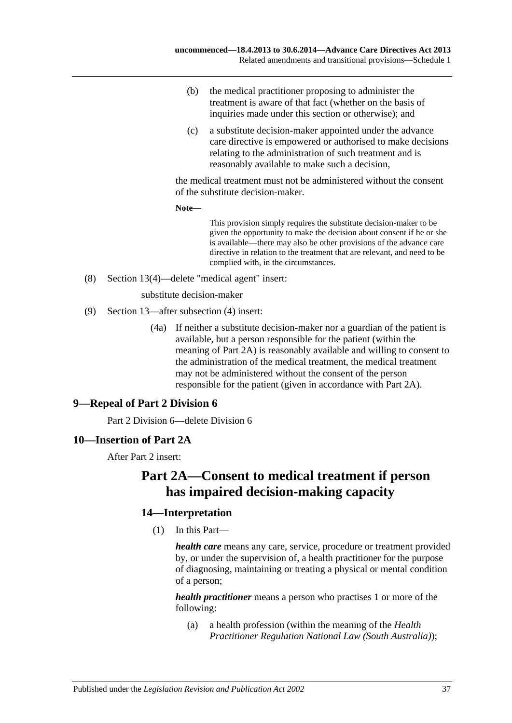- (b) the medical practitioner proposing to administer the treatment is aware of that fact (whether on the basis of inquiries made under this section or otherwise); and
- (c) a substitute decision-maker appointed under the advance care directive is empowered or authorised to make decisions relating to the administration of such treatment and is reasonably available to make such a decision,

the medical treatment must not be administered without the consent of the substitute decision-maker.

**Note—**

This provision simply requires the substitute decision-maker to be given the opportunity to make the decision about consent if he or she is available—there may also be other provisions of the advance care directive in relation to the treatment that are relevant, and need to be complied with, in the circumstances.

(8) Section 13(4)—delete "medical agent" insert:

substitute decision-maker

- (9) Section 13—after subsection (4) insert:
	- (4a) If neither a substitute decision-maker nor a guardian of the patient is available, but a person responsible for the patient (within the meaning of Part 2A) is reasonably available and willing to consent to the administration of the medical treatment, the medical treatment may not be administered without the consent of the person responsible for the patient (given in accordance with Part 2A).

## <span id="page-36-0"></span>**9—Repeal of Part 2 Division 6**

Part 2 Division 6—delete Division 6

### <span id="page-36-1"></span>**10—Insertion of Part 2A**

After Part 2 insert:

# **Part 2A—Consent to medical treatment if person has impaired decision-making capacity**

## **14—Interpretation**

(1) In this Part—

*health care* means any care, service, procedure or treatment provided by, or under the supervision of, a health practitioner for the purpose of diagnosing, maintaining or treating a physical or mental condition of a person;

*health practitioner* means a person who practises 1 or more of the following:

(a) a health profession (within the meaning of the *Health Practitioner Regulation National Law (South Australia)*);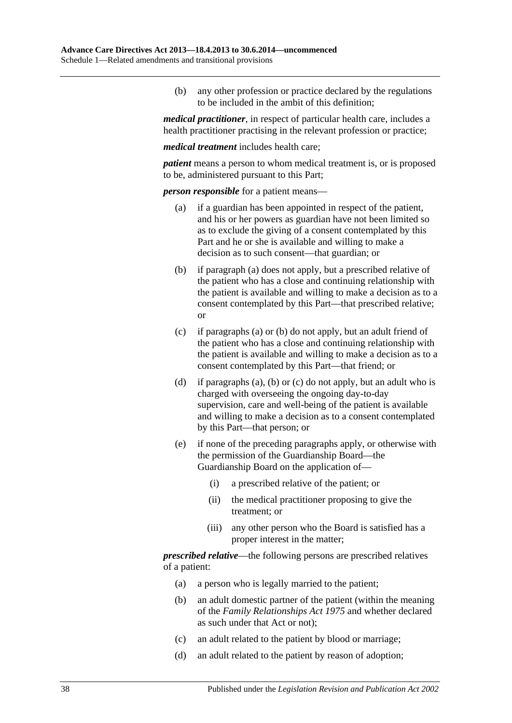(b) any other profession or practice declared by the regulations to be included in the ambit of this definition;

*medical practitioner*, in respect of particular health care, includes a health practitioner practising in the relevant profession or practice;

*medical treatment* includes health care;

*patient* means a person to whom medical treatment is, or is proposed to be, administered pursuant to this Part;

<span id="page-37-0"></span>*person responsible* for a patient means—

- (a) if a guardian has been appointed in respect of the patient, and his or her powers as guardian have not been limited so as to exclude the giving of a consent contemplated by this Part and he or she is available and willing to make a decision as to such consent—that guardian; or
- <span id="page-37-1"></span>(b) if [paragraph](#page-37-0) (a) does not apply, but a prescribed relative of the patient who has a close and continuing relationship with the patient is available and willing to make a decision as to a consent contemplated by this Part—that prescribed relative; or
- <span id="page-37-2"></span>(c) if [paragraphs](#page-37-0) (a) or [\(b\)](#page-37-1) do not apply, but an adult friend of the patient who has a close and continuing relationship with the patient is available and willing to make a decision as to a consent contemplated by this Part—that friend; or
- (d) if [paragraphs](#page-37-0) (a), [\(b\)](#page-37-1) or [\(c\)](#page-37-2) do not apply, but an adult who is charged with overseeing the ongoing day-to-day supervision, care and well-being of the patient is available and willing to make a decision as to a consent contemplated by this Part—that person; or
- (e) if none of the preceding paragraphs apply, or otherwise with the permission of the Guardianship Board—the Guardianship Board on the application of—
	- (i) a prescribed relative of the patient; or
	- (ii) the medical practitioner proposing to give the treatment; or
	- (iii) any other person who the Board is satisfied has a proper interest in the matter;

*prescribed relative*—the following persons are prescribed relatives of a patient:

- (a) a person who is legally married to the patient;
- (b) an adult domestic partner of the patient (within the meaning of the *[Family Relationships Act](http://www.legislation.sa.gov.au/index.aspx?action=legref&type=act&legtitle=Family%20Relationships%20Act%201975) 1975* and whether declared as such under that Act or not);
- (c) an adult related to the patient by blood or marriage;
- (d) an adult related to the patient by reason of adoption;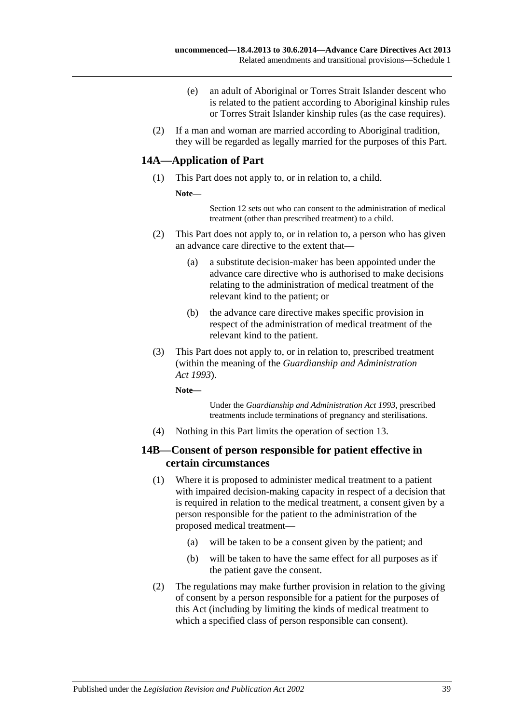- (e) an adult of Aboriginal or Torres Strait Islander descent who is related to the patient according to Aboriginal kinship rules or Torres Strait Islander kinship rules (as the case requires).
- (2) If a man and woman are married according to Aboriginal tradition, they will be regarded as legally married for the purposes of this Part.

## **14A—Application of Part**

- (1) This Part does not apply to, or in relation to, a child.
	- **Note—**

Section 12 sets out who can consent to the administration of medical treatment (other than prescribed treatment) to a child.

- (2) This Part does not apply to, or in relation to, a person who has given an advance care directive to the extent that—
	- (a) a substitute decision-maker has been appointed under the advance care directive who is authorised to make decisions relating to the administration of medical treatment of the relevant kind to the patient; or
	- (b) the advance care directive makes specific provision in respect of the administration of medical treatment of the relevant kind to the patient.
- (3) This Part does not apply to, or in relation to, prescribed treatment (within the meaning of the *[Guardianship and Administration](http://www.legislation.sa.gov.au/index.aspx?action=legref&type=act&legtitle=Guardianship%20and%20Administration%20Act%201993)  Act [1993](http://www.legislation.sa.gov.au/index.aspx?action=legref&type=act&legtitle=Guardianship%20and%20Administration%20Act%201993)*).

**Note—**

Under the *[Guardianship and Administration Act](http://www.legislation.sa.gov.au/index.aspx?action=legref&type=act&legtitle=Guardianship%20and%20Administration%20Act%201993) 1993*, prescribed treatments include terminations of pregnancy and sterilisations.

(4) Nothing in this Part limits the operation of section 13.

### **14B—Consent of person responsible for patient effective in certain circumstances**

- (1) Where it is proposed to administer medical treatment to a patient with impaired decision-making capacity in respect of a decision that is required in relation to the medical treatment, a consent given by a person responsible for the patient to the administration of the proposed medical treatment—
	- (a) will be taken to be a consent given by the patient; and
	- (b) will be taken to have the same effect for all purposes as if the patient gave the consent.
- (2) The regulations may make further provision in relation to the giving of consent by a person responsible for a patient for the purposes of this Act (including by limiting the kinds of medical treatment to which a specified class of person responsible can consent).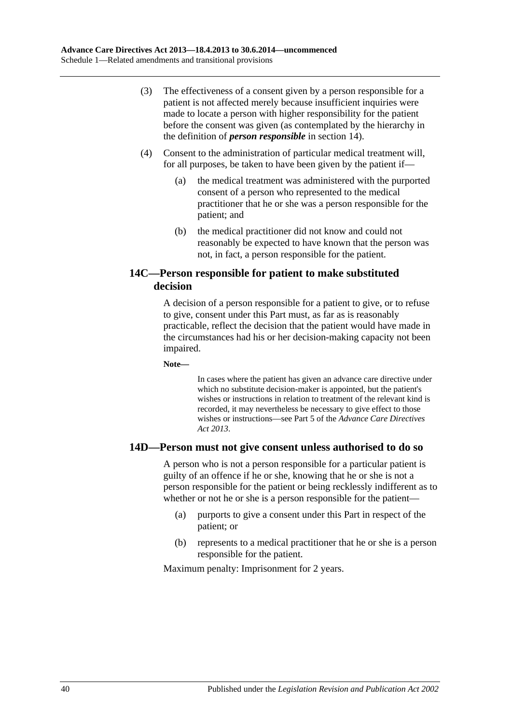- (3) The effectiveness of a consent given by a person responsible for a patient is not affected merely because insufficient inquiries were made to locate a person with higher responsibility for the patient before the consent was given (as contemplated by the hierarchy in the definition of *person responsible* in section 14).
- (4) Consent to the administration of particular medical treatment will, for all purposes, be taken to have been given by the patient if—
	- (a) the medical treatment was administered with the purported consent of a person who represented to the medical practitioner that he or she was a person responsible for the patient; and
	- (b) the medical practitioner did not know and could not reasonably be expected to have known that the person was not, in fact, a person responsible for the patient.

## **14C—Person responsible for patient to make substituted decision**

A decision of a person responsible for a patient to give, or to refuse to give, consent under this Part must, as far as is reasonably practicable, reflect the decision that the patient would have made in the circumstances had his or her decision-making capacity not been impaired.

**Note—**

In cases where the patient has given an advance care directive under which no substitute decision-maker is appointed, but the patient's wishes or instructions in relation to treatment of the relevant kind is recorded, it may nevertheless be necessary to give effect to those wishes or instructions—see Part 5 of the *[Advance Care Directives](http://www.legislation.sa.gov.au/index.aspx?action=legref&type=act&legtitle=Advance%20Care%20Directives%20Act%202013)  Act [2013](http://www.legislation.sa.gov.au/index.aspx?action=legref&type=act&legtitle=Advance%20Care%20Directives%20Act%202013)*.

## **14D—Person must not give consent unless authorised to do so**

A person who is not a person responsible for a particular patient is guilty of an offence if he or she, knowing that he or she is not a person responsible for the patient or being recklessly indifferent as to whether or not he or she is a person responsible for the patient—

- (a) purports to give a consent under this Part in respect of the patient; or
- (b) represents to a medical practitioner that he or she is a person responsible for the patient.

Maximum penalty: Imprisonment for 2 years.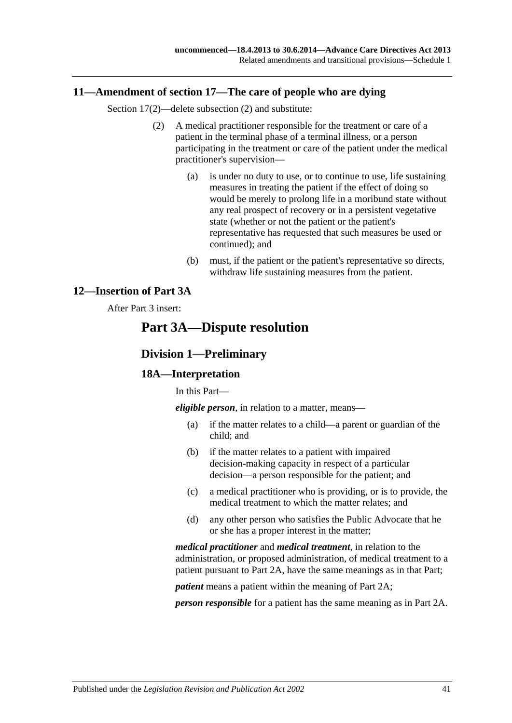### <span id="page-40-0"></span>**11—Amendment of section 17—The care of people who are dying**

Section 17(2)—delete subsection (2) and substitute:

- (2) A medical practitioner responsible for the treatment or care of a patient in the terminal phase of a terminal illness, or a person participating in the treatment or care of the patient under the medical practitioner's supervision—
	- (a) is under no duty to use, or to continue to use, life sustaining measures in treating the patient if the effect of doing so would be merely to prolong life in a moribund state without any real prospect of recovery or in a persistent vegetative state (whether or not the patient or the patient's representative has requested that such measures be used or continued); and
	- (b) must, if the patient or the patient's representative so directs, withdraw life sustaining measures from the patient.

## <span id="page-40-1"></span>**12—Insertion of Part 3A**

### After Part 3 insert:

# **Part 3A—Dispute resolution**

## **Division 1—Preliminary**

### **18A—Interpretation**

In this Part—

*eligible person*, in relation to a matter, means—

- (a) if the matter relates to a child—a parent or guardian of the child; and
- (b) if the matter relates to a patient with impaired decision-making capacity in respect of a particular decision—a person responsible for the patient; and
- (c) a medical practitioner who is providing, or is to provide, the medical treatment to which the matter relates; and
- (d) any other person who satisfies the Public Advocate that he or she has a proper interest in the matter;

*medical practitioner* and *medical treatment*, in relation to the administration, or proposed administration, of medical treatment to a patient pursuant to Part 2A, have the same meanings as in that Part;

*patient* means a patient within the meaning of Part 2A;

*person responsible* for a patient has the same meaning as in Part 2A.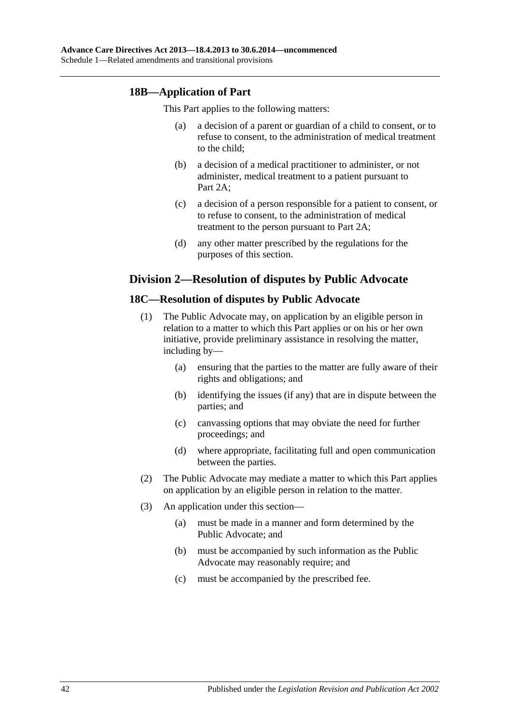## **18B—Application of Part**

This Part applies to the following matters:

- (a) a decision of a parent or guardian of a child to consent, or to refuse to consent, to the administration of medical treatment to the child;
- (b) a decision of a medical practitioner to administer, or not administer, medical treatment to a patient pursuant to Part 2A;
- (c) a decision of a person responsible for a patient to consent, or to refuse to consent, to the administration of medical treatment to the person pursuant to Part 2A;
- (d) any other matter prescribed by the regulations for the purposes of this section.

## **Division 2—Resolution of disputes by Public Advocate**

### **18C—Resolution of disputes by Public Advocate**

- (1) The Public Advocate may, on application by an eligible person in relation to a matter to which this Part applies or on his or her own initiative, provide preliminary assistance in resolving the matter, including by—
	- (a) ensuring that the parties to the matter are fully aware of their rights and obligations; and
	- (b) identifying the issues (if any) that are in dispute between the parties; and
	- (c) canvassing options that may obviate the need for further proceedings; and
	- (d) where appropriate, facilitating full and open communication between the parties.
- (2) The Public Advocate may mediate a matter to which this Part applies on application by an eligible person in relation to the matter.
- (3) An application under this section—
	- (a) must be made in a manner and form determined by the Public Advocate; and
	- (b) must be accompanied by such information as the Public Advocate may reasonably require; and
	- (c) must be accompanied by the prescribed fee.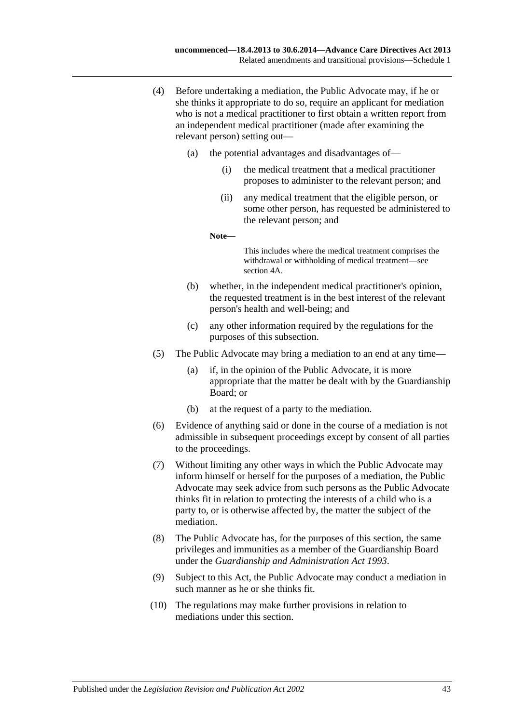- (4) Before undertaking a mediation, the Public Advocate may, if he or she thinks it appropriate to do so, require an applicant for mediation who is not a medical practitioner to first obtain a written report from an independent medical practitioner (made after examining the relevant person) setting out—
	- (a) the potential advantages and disadvantages of—
		- (i) the medical treatment that a medical practitioner proposes to administer to the relevant person; and
		- (ii) any medical treatment that the eligible person, or some other person, has requested be administered to the relevant person; and

**Note—**

This includes where the medical treatment comprises the withdrawal or withholding of medical treatment—see section 4A.

- (b) whether, in the independent medical practitioner's opinion, the requested treatment is in the best interest of the relevant person's health and well-being; and
- (c) any other information required by the regulations for the purposes of this subsection.
- (5) The Public Advocate may bring a mediation to an end at any time—
	- (a) if, in the opinion of the Public Advocate, it is more appropriate that the matter be dealt with by the Guardianship Board; or
	- (b) at the request of a party to the mediation.
- (6) Evidence of anything said or done in the course of a mediation is not admissible in subsequent proceedings except by consent of all parties to the proceedings.
- (7) Without limiting any other ways in which the Public Advocate may inform himself or herself for the purposes of a mediation, the Public Advocate may seek advice from such persons as the Public Advocate thinks fit in relation to protecting the interests of a child who is a party to, or is otherwise affected by, the matter the subject of the mediation.
- (8) The Public Advocate has, for the purposes of this section, the same privileges and immunities as a member of the Guardianship Board under the *[Guardianship and Administration Act](http://www.legislation.sa.gov.au/index.aspx?action=legref&type=act&legtitle=Guardianship%20and%20Administration%20Act%201993) 1993*.
- (9) Subject to this Act, the Public Advocate may conduct a mediation in such manner as he or she thinks fit.
- (10) The regulations may make further provisions in relation to mediations under this section.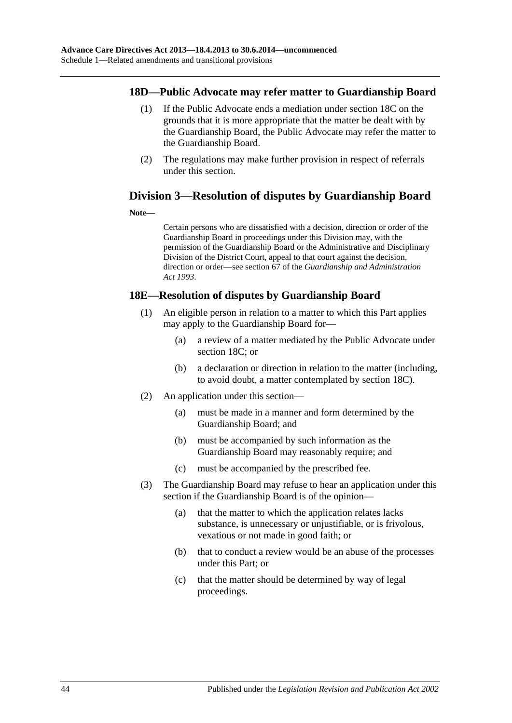### **18D—Public Advocate may refer matter to Guardianship Board**

- (1) If the Public Advocate ends a mediation under section 18C on the grounds that it is more appropriate that the matter be dealt with by the Guardianship Board, the Public Advocate may refer the matter to the Guardianship Board.
- (2) The regulations may make further provision in respect of referrals under this section.

## **Division 3—Resolution of disputes by Guardianship Board**

### **Note—**

Certain persons who are dissatisfied with a decision, direction or order of the Guardianship Board in proceedings under this Division may, with the permission of the Guardianship Board or the Administrative and Disciplinary Division of the District Court, appeal to that court against the decision, direction or order—see section 67 of the *[Guardianship and Administration](http://www.legislation.sa.gov.au/index.aspx?action=legref&type=act&legtitle=Guardianship%20and%20Administration%20Act%201993)  Act [1993](http://www.legislation.sa.gov.au/index.aspx?action=legref&type=act&legtitle=Guardianship%20and%20Administration%20Act%201993)*.

## **18E—Resolution of disputes by Guardianship Board**

- (1) An eligible person in relation to a matter to which this Part applies may apply to the Guardianship Board for—
	- (a) a review of a matter mediated by the Public Advocate under section 18C; or
	- (b) a declaration or direction in relation to the matter (including, to avoid doubt, a matter contemplated by section 18C).
- (2) An application under this section—
	- (a) must be made in a manner and form determined by the Guardianship Board; and
	- (b) must be accompanied by such information as the Guardianship Board may reasonably require; and
	- (c) must be accompanied by the prescribed fee.
- (3) The Guardianship Board may refuse to hear an application under this section if the Guardianship Board is of the opinion—
	- (a) that the matter to which the application relates lacks substance, is unnecessary or unjustifiable, or is frivolous, vexatious or not made in good faith; or
	- (b) that to conduct a review would be an abuse of the processes under this Part; or
	- (c) that the matter should be determined by way of legal proceedings.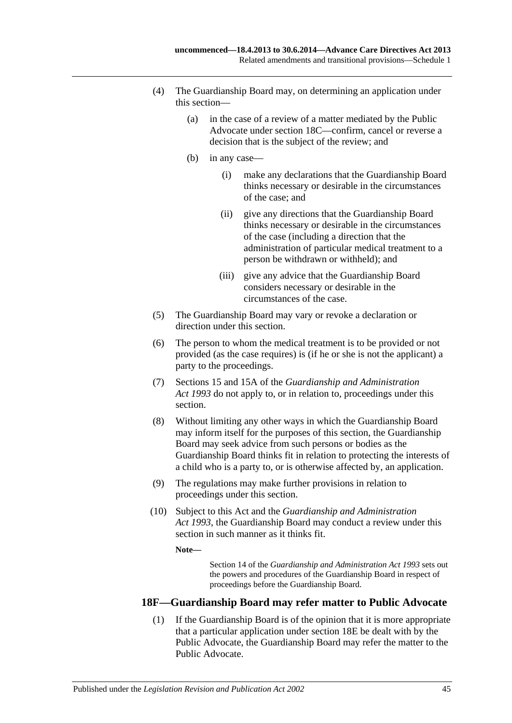- (4) The Guardianship Board may, on determining an application under this section—
	- (a) in the case of a review of a matter mediated by the Public Advocate under section 18C—confirm, cancel or reverse a decision that is the subject of the review; and
	- (b) in any case—
		- (i) make any declarations that the Guardianship Board thinks necessary or desirable in the circumstances of the case; and
		- (ii) give any directions that the Guardianship Board thinks necessary or desirable in the circumstances of the case (including a direction that the administration of particular medical treatment to a person be withdrawn or withheld); and
		- (iii) give any advice that the Guardianship Board considers necessary or desirable in the circumstances of the case.
- (5) The Guardianship Board may vary or revoke a declaration or direction under this section.
- (6) The person to whom the medical treatment is to be provided or not provided (as the case requires) is (if he or she is not the applicant) a party to the proceedings.
- (7) Sections 15 and 15A of the *[Guardianship and Administration](http://www.legislation.sa.gov.au/index.aspx?action=legref&type=act&legtitle=Guardianship%20and%20Administration%20Act%201993)  Act [1993](http://www.legislation.sa.gov.au/index.aspx?action=legref&type=act&legtitle=Guardianship%20and%20Administration%20Act%201993)* do not apply to, or in relation to, proceedings under this section.
- (8) Without limiting any other ways in which the Guardianship Board may inform itself for the purposes of this section, the Guardianship Board may seek advice from such persons or bodies as the Guardianship Board thinks fit in relation to protecting the interests of a child who is a party to, or is otherwise affected by, an application.
- (9) The regulations may make further provisions in relation to proceedings under this section.
- (10) Subject to this Act and the *[Guardianship and Administration](http://www.legislation.sa.gov.au/index.aspx?action=legref&type=act&legtitle=Guardianship%20and%20Administration%20Act%201993)  Act [1993](http://www.legislation.sa.gov.au/index.aspx?action=legref&type=act&legtitle=Guardianship%20and%20Administration%20Act%201993)*, the Guardianship Board may conduct a review under this section in such manner as it thinks fit.

**Note—**

Section 14 of the *[Guardianship and Administration Act](http://www.legislation.sa.gov.au/index.aspx?action=legref&type=act&legtitle=Guardianship%20and%20Administration%20Act%201993) 1993* sets out the powers and procedures of the Guardianship Board in respect of proceedings before the Guardianship Board.

## **18F—Guardianship Board may refer matter to Public Advocate**

(1) If the Guardianship Board is of the opinion that it is more appropriate that a particular application under section 18E be dealt with by the Public Advocate, the Guardianship Board may refer the matter to the Public Advocate.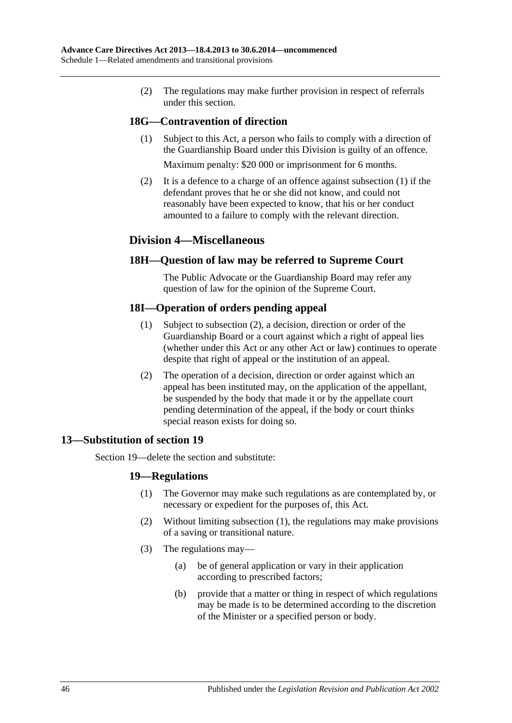(2) The regulations may make further provision in respect of referrals under this section.

## <span id="page-45-1"></span>**18G—Contravention of direction**

(1) Subject to this Act, a person who fails to comply with a direction of the Guardianship Board under this Division is guilty of an offence.

Maximum penalty: \$20 000 or imprisonment for 6 months.

(2) It is a defence to a charge of an offence against [subsection](#page-45-1) (1) if the defendant proves that he or she did not know, and could not reasonably have been expected to know, that his or her conduct amounted to a failure to comply with the relevant direction.

## **Division 4—Miscellaneous**

## **18H—Question of law may be referred to Supreme Court**

The Public Advocate or the Guardianship Board may refer any question of law for the opinion of the Supreme Court.

## **18I—Operation of orders pending appeal**

- (1) Subject to [subsection](#page-45-2) (2), a decision, direction or order of the Guardianship Board or a court against which a right of appeal lies (whether under this Act or any other Act or law) continues to operate despite that right of appeal or the institution of an appeal.
- (2) The operation of a decision, direction or order against which an appeal has been instituted may, on the application of the appellant, be suspended by the body that made it or by the appellate court pending determination of the appeal, if the body or court thinks special reason exists for doing so.

## <span id="page-45-2"></span><span id="page-45-0"></span>**13—Substitution of section 19**

<span id="page-45-3"></span>Section 19—delete the section and substitute:

## **19—Regulations**

- (1) The Governor may make such regulations as are contemplated by, or necessary or expedient for the purposes of, this Act.
- (2) Without limiting [subsection](#page-45-3) (1), the regulations may make provisions of a saving or transitional nature.
- (3) The regulations may—
	- (a) be of general application or vary in their application according to prescribed factors;
	- (b) provide that a matter or thing in respect of which regulations may be made is to be determined according to the discretion of the Minister or a specified person or body.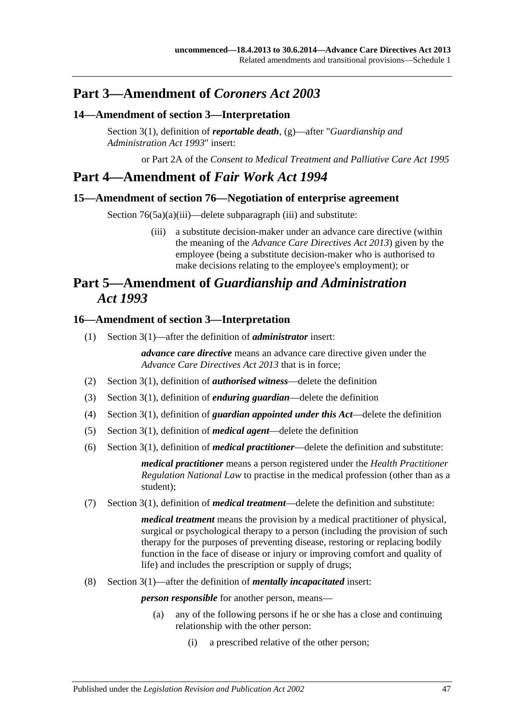# **Part 3—Amendment of** *Coroners Act 2003*

## <span id="page-46-0"></span>**14—Amendment of section 3—Interpretation**

Section 3(1), definition of *reportable death*, (g)—after "*[Guardianship and](http://www.legislation.sa.gov.au/index.aspx?action=legref&type=act&legtitle=Guardianship%20and%20Administration%20Act%201993)  [Administration Act](http://www.legislation.sa.gov.au/index.aspx?action=legref&type=act&legtitle=Guardianship%20and%20Administration%20Act%201993) 1993*" insert:

or Part 2A of the *[Consent to Medical Treatment and Palliative Care Act](http://www.legislation.sa.gov.au/index.aspx?action=legref&type=act&legtitle=Consent%20to%20Medical%20Treatment%20and%20Palliative%20Care%20Act%201995) 1995*

# **Part 4—Amendment of** *Fair Work Act 1994*

## <span id="page-46-1"></span>**15—Amendment of section 76—Negotiation of enterprise agreement**

Section 76(5a)(a)(iii)—delete subparagraph (iii) and substitute:

(iii) a substitute decision-maker under an advance care directive (within the meaning of the *[Advance Care Directives Act](http://www.legislation.sa.gov.au/index.aspx?action=legref&type=act&legtitle=Advance%20Care%20Directives%20Act%202013) 2013*) given by the employee (being a substitute decision-maker who is authorised to make decisions relating to the employee's employment); or

# **Part 5—Amendment of** *Guardianship and Administration Act 1993*

### <span id="page-46-2"></span>**16—Amendment of section 3—Interpretation**

(1) Section 3(1)—after the definition of *administrator* insert:

*advance care directive* means an advance care directive given under the *[Advance Care Directives Act](http://www.legislation.sa.gov.au/index.aspx?action=legref&type=act&legtitle=Advance%20Care%20Directives%20Act%202013) 2013* that is in force;

- (2) Section 3(1), definition of *authorised witness*—delete the definition
- (3) Section 3(1), definition of *enduring guardian*—delete the definition
- (4) Section 3(1), definition of *guardian appointed under this Act*—delete the definition
- (5) Section 3(1), definition of *medical agent*—delete the definition
- (6) Section 3(1), definition of *medical practitioner*—delete the definition and substitute:

*medical practitioner* means a person registered under the *Health Practitioner Regulation National Law* to practise in the medical profession (other than as a student);

(7) Section 3(1), definition of *medical treatment*—delete the definition and substitute:

*medical treatment* means the provision by a medical practitioner of physical, surgical or psychological therapy to a person (including the provision of such therapy for the purposes of preventing disease, restoring or replacing bodily function in the face of disease or injury or improving comfort and quality of life) and includes the prescription or supply of drugs;

(8) Section 3(1)—after the definition of *mentally incapacitated* insert:

*person responsible* for another person, means—

- (a) any of the following persons if he or she has a close and continuing relationship with the other person:
	- (i) a prescribed relative of the other person;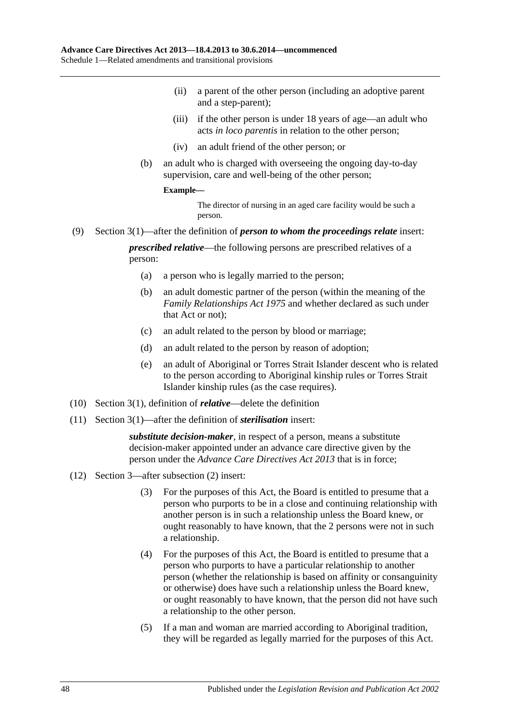- (ii) a parent of the other person (including an adoptive parent and a step-parent);
- (iii) if the other person is under 18 years of age—an adult who acts *in loco parentis* in relation to the other person;
- (iv) an adult friend of the other person; or
- (b) an adult who is charged with overseeing the ongoing day-to-day supervision, care and well-being of the other person;

### **Example—**

The director of nursing in an aged care facility would be such a person.

(9) Section 3(1)—after the definition of *person to whom the proceedings relate* insert:

*prescribed relative*—the following persons are prescribed relatives of a person:

- (a) a person who is legally married to the person;
- (b) an adult domestic partner of the person (within the meaning of the *[Family Relationships Act](http://www.legislation.sa.gov.au/index.aspx?action=legref&type=act&legtitle=Family%20Relationships%20Act%201975) 1975* and whether declared as such under that Act or not);
- (c) an adult related to the person by blood or marriage;
- (d) an adult related to the person by reason of adoption;
- (e) an adult of Aboriginal or Torres Strait Islander descent who is related to the person according to Aboriginal kinship rules or Torres Strait Islander kinship rules (as the case requires).
- (10) Section 3(1), definition of *relative*—delete the definition
- (11) Section 3(1)—after the definition of *sterilisation* insert:

*substitute decision-maker*, in respect of a person, means a substitute decision-maker appointed under an advance care directive given by the person under the *[Advance Care Directives Act](http://www.legislation.sa.gov.au/index.aspx?action=legref&type=act&legtitle=Advance%20Care%20Directives%20Act%202013) 2013* that is in force;

- (12) Section 3—after subsection (2) insert:
	- (3) For the purposes of this Act, the Board is entitled to presume that a person who purports to be in a close and continuing relationship with another person is in such a relationship unless the Board knew, or ought reasonably to have known, that the 2 persons were not in such a relationship.
	- (4) For the purposes of this Act, the Board is entitled to presume that a person who purports to have a particular relationship to another person (whether the relationship is based on affinity or consanguinity or otherwise) does have such a relationship unless the Board knew, or ought reasonably to have known, that the person did not have such a relationship to the other person.
	- (5) If a man and woman are married according to Aboriginal tradition, they will be regarded as legally married for the purposes of this Act.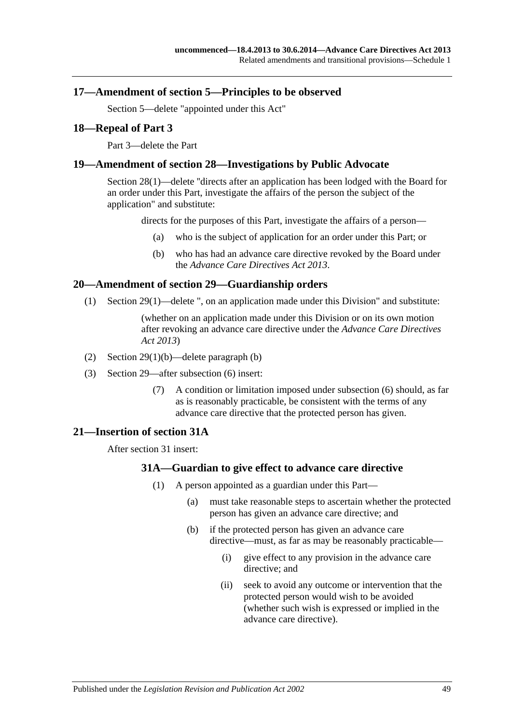### <span id="page-48-0"></span>**17—Amendment of section 5—Principles to be observed**

Section 5—delete "appointed under this Act"

### <span id="page-48-1"></span>**18—Repeal of Part 3**

Part 3—delete the Part

### <span id="page-48-2"></span>**19—Amendment of section 28—Investigations by Public Advocate**

Section 28(1)—delete ''directs after an application has been lodged with the Board for an order under this Part, investigate the affairs of the person the subject of the application" and substitute:

directs for the purposes of this Part, investigate the affairs of a person—

- (a) who is the subject of application for an order under this Part; or
- (b) who has had an advance care directive revoked by the Board under the *[Advance Care Directives Act](http://www.legislation.sa.gov.au/index.aspx?action=legref&type=act&legtitle=Advance%20Care%20Directives%20Act%202013) 2013*.

### <span id="page-48-3"></span>**20—Amendment of section 29—Guardianship orders**

(1) Section 29(1)—delete ", on an application made under this Division" and substitute:

(whether on an application made under this Division or on its own motion after revoking an advance care directive under the *[Advance Care Directives](http://www.legislation.sa.gov.au/index.aspx?action=legref&type=act&legtitle=Advance%20Care%20Directives%20Act%202013)  Act [2013](http://www.legislation.sa.gov.au/index.aspx?action=legref&type=act&legtitle=Advance%20Care%20Directives%20Act%202013)*)

- (2) Section 29(1)(b)—delete paragraph (b)
- (3) Section 29—after subsection (6) insert:
	- (7) A condition or limitation imposed under subsection (6) should, as far as is reasonably practicable, be consistent with the terms of any advance care directive that the protected person has given.

### <span id="page-48-5"></span><span id="page-48-4"></span>**21—Insertion of section 31A**

After section 31 insert:

### **31A—Guardian to give effect to advance care directive**

- (1) A person appointed as a guardian under this Part—
	- (a) must take reasonable steps to ascertain whether the protected person has given an advance care directive; and
	- (b) if the protected person has given an advance care directive—must, as far as may be reasonably practicable—
		- (i) give effect to any provision in the advance care directive; and
		- (ii) seek to avoid any outcome or intervention that the protected person would wish to be avoided (whether such wish is expressed or implied in the advance care directive).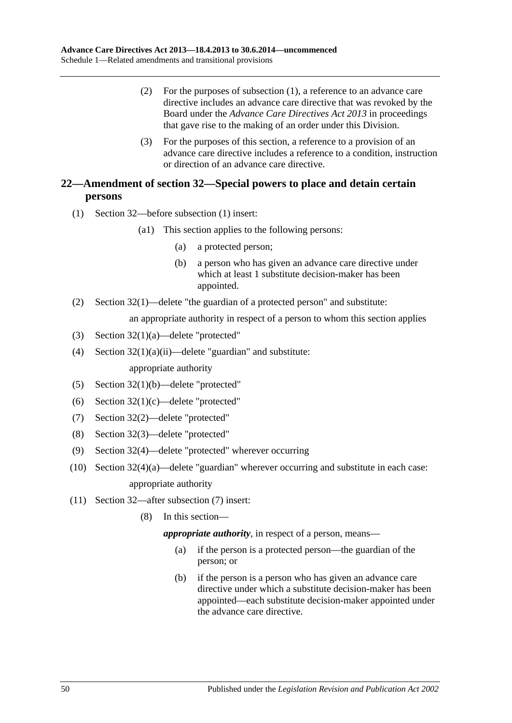- (2) For the purposes of [subsection](#page-48-5) (1), a reference to an advance care directive includes an advance care directive that was revoked by the Board under the *[Advance Care Directives Act](http://www.legislation.sa.gov.au/index.aspx?action=legref&type=act&legtitle=Advance%20Care%20Directives%20Act%202013) 2013* in proceedings that gave rise to the making of an order under this Division.
- (3) For the purposes of this section, a reference to a provision of an advance care directive includes a reference to a condition, instruction or direction of an advance care directive.

## <span id="page-49-0"></span>**22—Amendment of section 32—Special powers to place and detain certain persons**

- (1) Section 32—before subsection (1) insert:
	- (a1) This section applies to the following persons:
		- (a) a protected person;
		- (b) a person who has given an advance care directive under which at least 1 substitute decision-maker has been appointed.
- (2) Section 32(1)—delete "the guardian of a protected person" and substitute:

an appropriate authority in respect of a person to whom this section applies

- (3) Section 32(1)(a)—delete "protected"
- (4) Section  $32(1)(a)(ii)$ —delete "guardian" and substitute: appropriate authority
- (5) Section 32(1)(b)—delete "protected"
- (6) Section 32(1)(c)—delete "protected"
- (7) Section 32(2)—delete "protected"
- (8) Section 32(3)—delete "protected"
- (9) Section 32(4)—delete "protected" wherever occurring
- (10) Section 32(4)(a)—delete "guardian" wherever occurring and substitute in each case: appropriate authority
- (11) Section 32—after subsection (7) insert:
	- (8) In this section—

*appropriate authority*, in respect of a person, means—

- (a) if the person is a protected person—the guardian of the person; or
- (b) if the person is a person who has given an advance care directive under which a substitute decision-maker has been appointed—each substitute decision-maker appointed under the advance care directive.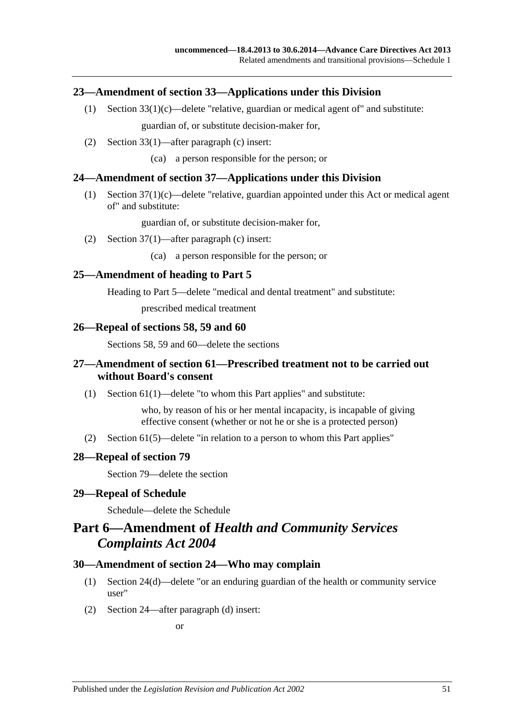### <span id="page-50-0"></span>**23—Amendment of section 33—Applications under this Division**

- (1) Section  $33(1)(c)$ —delete "relative, guardian or medical agent of" and substitute: guardian of, or substitute decision-maker for,
- (2) Section 33(1)—after paragraph (c) insert:
	- (ca) a person responsible for the person; or

### <span id="page-50-1"></span>**24—Amendment of section 37—Applications under this Division**

(1) Section 37(1)(c)—delete "relative, guardian appointed under this Act or medical agent of" and substitute:

guardian of, or substitute decision-maker for,

(2) Section 37(1)—after paragraph (c) insert:

(ca) a person responsible for the person; or

### <span id="page-50-2"></span>**25—Amendment of heading to Part 5**

Heading to Part 5—delete "medical and dental treatment" and substitute:

prescribed medical treatment

### <span id="page-50-3"></span>**26—Repeal of sections 58, 59 and 60**

Sections 58, 59 and 60—delete the sections

### <span id="page-50-4"></span>**27—Amendment of section 61—Prescribed treatment not to be carried out without Board's consent**

(1) Section 61(1)—delete "to whom this Part applies" and substitute:

who, by reason of his or her mental incapacity, is incapable of giving effective consent (whether or not he or she is a protected person)

(2) Section 61(5)—delete "in relation to a person to whom this Part applies"

### <span id="page-50-5"></span>**28—Repeal of section 79**

Section 79—delete the section

### <span id="page-50-6"></span>**29—Repeal of Schedule**

Schedule—delete the Schedule

# **Part 6—Amendment of** *Health and Community Services Complaints Act 2004*

### <span id="page-50-7"></span>**30—Amendment of section 24—Who may complain**

- (1) Section 24(d)—delete "or an enduring guardian of the health or community service user"
- (2) Section 24—after paragraph (d) insert:

or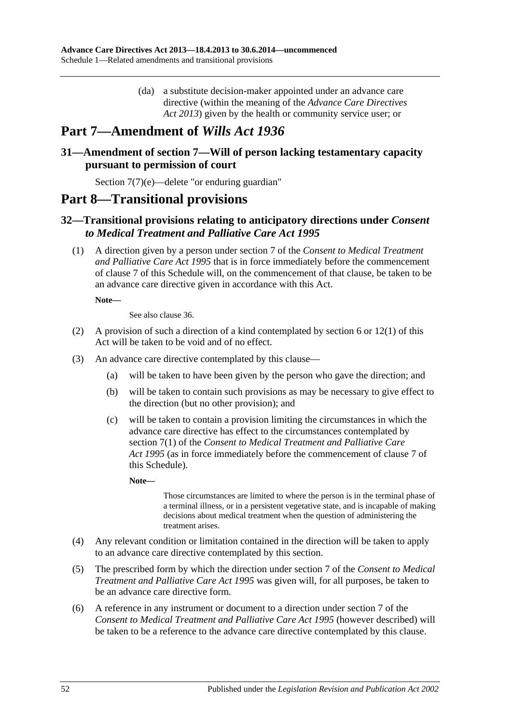(da) a substitute decision-maker appointed under an advance care directive (within the meaning of the *[Advance Care Directives](http://www.legislation.sa.gov.au/index.aspx?action=legref&type=act&legtitle=Advance%20Care%20Directives%20Act%202013)  Act [2013](http://www.legislation.sa.gov.au/index.aspx?action=legref&type=act&legtitle=Advance%20Care%20Directives%20Act%202013)*) given by the health or community service user; or

# **Part 7—Amendment of** *Wills Act 1936*

## <span id="page-51-0"></span>**31—Amendment of section 7—Will of person lacking testamentary capacity pursuant to permission of court**

Section 7(7)(e)—delete "or enduring guardian"

# **Part 8—Transitional provisions**

## <span id="page-51-1"></span>**32—Transitional provisions relating to anticipatory directions under** *Consent to Medical Treatment and Palliative Care Act 1995*

(1) A direction given by a person under section 7 of the *[Consent to Medical Treatment](http://www.legislation.sa.gov.au/index.aspx?action=legref&type=act&legtitle=Consent%20to%20Medical%20Treatment%20and%20Palliative%20Care%20Act%201995)  [and Palliative Care Act](http://www.legislation.sa.gov.au/index.aspx?action=legref&type=act&legtitle=Consent%20to%20Medical%20Treatment%20and%20Palliative%20Care%20Act%201995) 1995* that is in force immediately before the commencement of [clause](#page-34-3) 7 of this Schedule will, on the commencement of that clause, be taken to be an advance care directive given in accordance with this Act.

**Note—**

See also [clause](#page-54-0) 36.

- <span id="page-51-2"></span>(2) A provision of such a direction of a kind contemplated by [section](#page-5-2) 6 or [12\(1\)](#page-10-2) of this Act will be taken to be void and of no effect.
- <span id="page-51-3"></span>(3) An advance care directive contemplated by this clause—
	- (a) will be taken to have been given by the person who gave the direction; and
	- (b) will be taken to contain such provisions as may be necessary to give effect to the direction (but no other provision); and
	- (c) will be taken to contain a provision limiting the circumstances in which the advance care directive has effect to the circumstances contemplated by section 7(1) of the *[Consent to Medical Treatment and Palliative Care](http://www.legislation.sa.gov.au/index.aspx?action=legref&type=act&legtitle=Consent%20to%20Medical%20Treatment%20and%20Palliative%20Care%20Act%201995)  Act [1995](http://www.legislation.sa.gov.au/index.aspx?action=legref&type=act&legtitle=Consent%20to%20Medical%20Treatment%20and%20Palliative%20Care%20Act%201995)* (as in force immediately before the commencement of [clause](#page-34-3) 7 of this Schedule).

**Note—**

Those circumstances are limited to where the person is in the terminal phase of a terminal illness, or in a persistent vegetative state, and is incapable of making decisions about medical treatment when the question of administering the treatment arises.

- <span id="page-51-4"></span>(4) Any relevant condition or limitation contained in the direction will be taken to apply to an advance care directive contemplated by this section.
- (5) The prescribed form by which the direction under section 7 of the *[Consent to Medical](http://www.legislation.sa.gov.au/index.aspx?action=legref&type=act&legtitle=Consent%20to%20Medical%20Treatment%20and%20Palliative%20Care%20Act%201995)  [Treatment and Palliative Care Act](http://www.legislation.sa.gov.au/index.aspx?action=legref&type=act&legtitle=Consent%20to%20Medical%20Treatment%20and%20Palliative%20Care%20Act%201995) 1995* was given will, for all purposes, be taken to be an advance care directive form.
- (6) A reference in any instrument or document to a direction under section 7 of the *[Consent to Medical Treatment and Palliative Care Act](http://www.legislation.sa.gov.au/index.aspx?action=legref&type=act&legtitle=Consent%20to%20Medical%20Treatment%20and%20Palliative%20Care%20Act%201995) 1995* (however described) will be taken to be a reference to the advance care directive contemplated by this clause.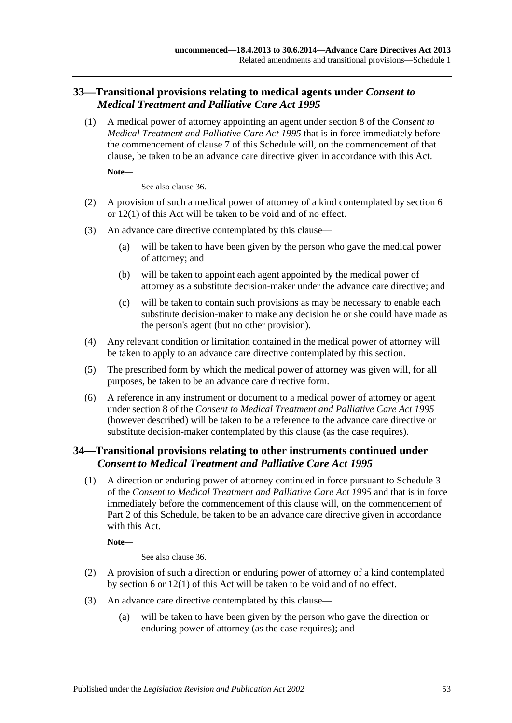## <span id="page-52-0"></span>**33—Transitional provisions relating to medical agents under** *Consent to Medical Treatment and Palliative Care Act 1995*

(1) A medical power of attorney appointing an agent under section 8 of the *[Consent to](http://www.legislation.sa.gov.au/index.aspx?action=legref&type=act&legtitle=Consent%20to%20Medical%20Treatment%20and%20Palliative%20Care%20Act%201995)  [Medical Treatment and Palliative Care Act](http://www.legislation.sa.gov.au/index.aspx?action=legref&type=act&legtitle=Consent%20to%20Medical%20Treatment%20and%20Palliative%20Care%20Act%201995) 1995* that is in force immediately before the commencement of [clause](#page-34-3) 7 of this Schedule will, on the commencement of that clause, be taken to be an advance care directive given in accordance with this Act.

**Note—**

See also [clause](#page-54-0) 36.

- <span id="page-52-2"></span>(2) A provision of such a medical power of attorney of a kind contemplated by [section](#page-5-2) 6 or [12\(1\)](#page-10-2) of this Act will be taken to be void and of no effect.
- <span id="page-52-3"></span>(3) An advance care directive contemplated by this clause—
	- (a) will be taken to have been given by the person who gave the medical power of attorney; and
	- (b) will be taken to appoint each agent appointed by the medical power of attorney as a substitute decision-maker under the advance care directive; and
	- (c) will be taken to contain such provisions as may be necessary to enable each substitute decision-maker to make any decision he or she could have made as the person's agent (but no other provision).
- <span id="page-52-4"></span>(4) Any relevant condition or limitation contained in the medical power of attorney will be taken to apply to an advance care directive contemplated by this section.
- (5) The prescribed form by which the medical power of attorney was given will, for all purposes, be taken to be an advance care directive form.
- (6) A reference in any instrument or document to a medical power of attorney or agent under section 8 of the *[Consent to Medical Treatment and Palliative Care Act](http://www.legislation.sa.gov.au/index.aspx?action=legref&type=act&legtitle=Consent%20to%20Medical%20Treatment%20and%20Palliative%20Care%20Act%201995) 1995* (however described) will be taken to be a reference to the advance care directive or substitute decision-maker contemplated by this clause (as the case requires).

## <span id="page-52-1"></span>**34—Transitional provisions relating to other instruments continued under**  *Consent to Medical Treatment and Palliative Care Act 1995*

(1) A direction or enduring power of attorney continued in force pursuant to Schedule 3 of the *[Consent to Medical Treatment and Palliative Care Act](http://www.legislation.sa.gov.au/index.aspx?action=legref&type=act&legtitle=Consent%20to%20Medical%20Treatment%20and%20Palliative%20Care%20Act%201995) 1995* and that is in force immediately before the commencement of this clause will, on the commencement of Part 2 of this Schedule, be taken to be an advance care directive given in accordance with this Act.

**Note—**

See also [clause](#page-54-0) 36.

- <span id="page-52-5"></span>(2) A provision of such a direction or enduring power of attorney of a kind contemplated by [section](#page-5-2) 6 or [12\(1\)](#page-10-2) of this Act will be taken to be void and of no effect.
- <span id="page-52-6"></span>(3) An advance care directive contemplated by this clause—
	- (a) will be taken to have been given by the person who gave the direction or enduring power of attorney (as the case requires); and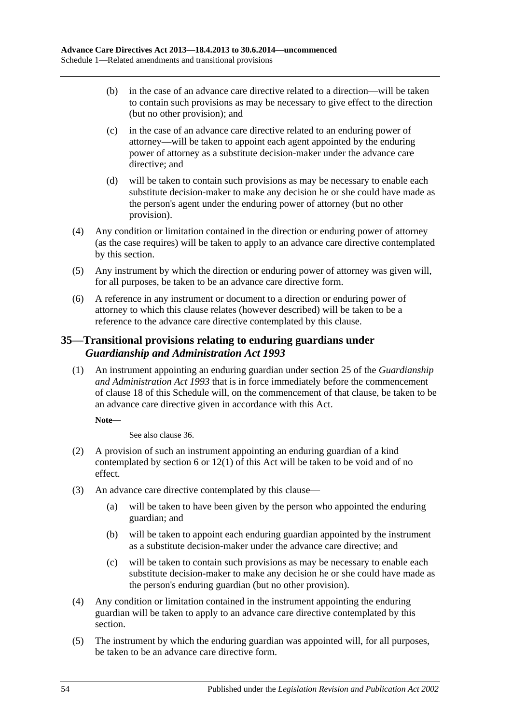- (b) in the case of an advance care directive related to a direction—will be taken to contain such provisions as may be necessary to give effect to the direction (but no other provision); and
- (c) in the case of an advance care directive related to an enduring power of attorney—will be taken to appoint each agent appointed by the enduring power of attorney as a substitute decision-maker under the advance care directive; and
- (d) will be taken to contain such provisions as may be necessary to enable each substitute decision-maker to make any decision he or she could have made as the person's agent under the enduring power of attorney (but no other provision).
- <span id="page-53-1"></span>(4) Any condition or limitation contained in the direction or enduring power of attorney (as the case requires) will be taken to apply to an advance care directive contemplated by this section.
- (5) Any instrument by which the direction or enduring power of attorney was given will, for all purposes, be taken to be an advance care directive form.
- (6) A reference in any instrument or document to a direction or enduring power of attorney to which this clause relates (however described) will be taken to be a reference to the advance care directive contemplated by this clause.

## <span id="page-53-0"></span>**35—Transitional provisions relating to enduring guardians under**  *Guardianship and Administration Act 1993*

(1) An instrument appointing an enduring guardian under section 25 of the *[Guardianship](http://www.legislation.sa.gov.au/index.aspx?action=legref&type=act&legtitle=Guardianship%20and%20Administration%20Act%201993)  [and Administration Act](http://www.legislation.sa.gov.au/index.aspx?action=legref&type=act&legtitle=Guardianship%20and%20Administration%20Act%201993) 1993* that is in force immediately before the commencement of [clause](#page-48-1) 18 of this Schedule will, on the commencement of that clause, be taken to be an advance care directive given in accordance with this Act.

### **Note—**

See also [clause](#page-54-0) 36.

- <span id="page-53-2"></span>(2) A provision of such an instrument appointing an enduring guardian of a kind contemplated by [section](#page-5-2) 6 or [12\(1\)](#page-10-2) of this Act will be taken to be void and of no effect.
- <span id="page-53-3"></span>(3) An advance care directive contemplated by this clause—
	- (a) will be taken to have been given by the person who appointed the enduring guardian; and
	- (b) will be taken to appoint each enduring guardian appointed by the instrument as a substitute decision-maker under the advance care directive; and
	- (c) will be taken to contain such provisions as may be necessary to enable each substitute decision-maker to make any decision he or she could have made as the person's enduring guardian (but no other provision).
- <span id="page-53-4"></span>(4) Any condition or limitation contained in the instrument appointing the enduring guardian will be taken to apply to an advance care directive contemplated by this section.
- (5) The instrument by which the enduring guardian was appointed will, for all purposes, be taken to be an advance care directive form.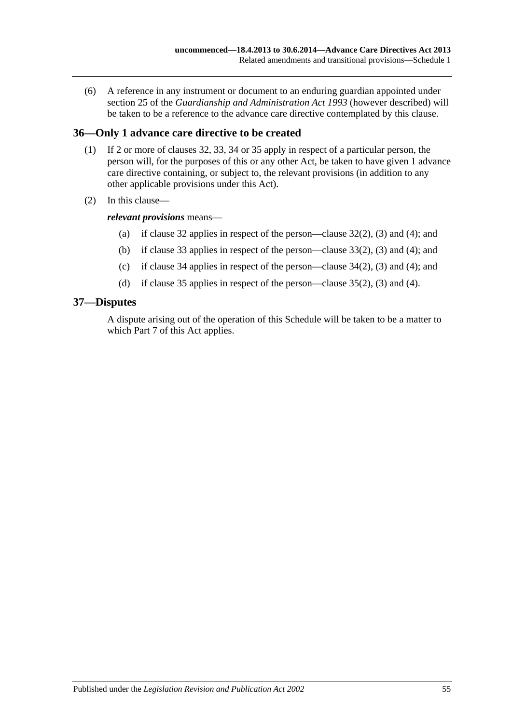(6) A reference in any instrument or document to an enduring guardian appointed under section 25 of the *[Guardianship and Administration Act](http://www.legislation.sa.gov.au/index.aspx?action=legref&type=act&legtitle=Guardianship%20and%20Administration%20Act%201993) 1993* (however described) will be taken to be a reference to the advance care directive contemplated by this clause.

## <span id="page-54-0"></span>**36—Only 1 advance care directive to be created**

- (1) If 2 or more of [clauses](#page-51-1) 32, [33,](#page-52-0) [34](#page-52-1) or [35](#page-53-0) apply in respect of a particular person, the person will, for the purposes of this or any other Act, be taken to have given 1 advance care directive containing, or subject to, the relevant provisions (in addition to any other applicable provisions under this Act).
- (2) In this clause—

### *relevant provisions* means—

- (a) if [clause](#page-51-1) 32 applies in respect of the person[—clause](#page-51-2) 32(2), [\(3\)](#page-51-3) and [\(4\);](#page-51-4) and
- (b) if [clause](#page-52-0) 33 applies in respect of the person[—clause](#page-52-2) 33(2), [\(3\)](#page-52-3) and [\(4\);](#page-52-4) and
- (c) if [clause](#page-52-1) 34 applies in respect of the person[—clause](#page-52-5) 34(2), [\(3\)](#page-52-6) and [\(4\);](#page-53-1) and
- (d) if [clause](#page-53-0) 35 applies in respect of the person[—clause](#page-53-2) 35(2), [\(3\)](#page-53-3) and [\(4\).](#page-53-4)

### <span id="page-54-1"></span>**37—Disputes**

A dispute arising out of the operation of this Schedule will be taken to be a matter to which [Part](#page-21-4) 7 of this Act applies.